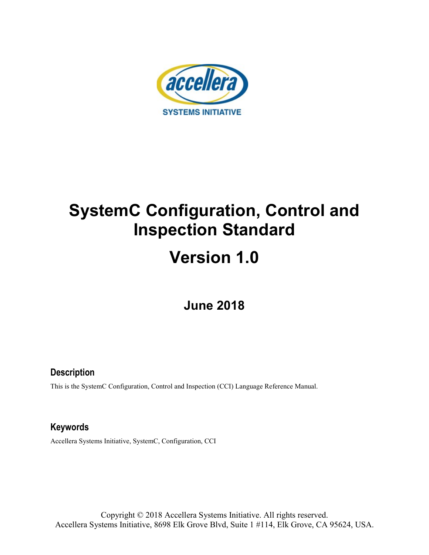

# **SystemC Configuration, Control and Inspection Standard**

# **Version 1.0**

**June 2018**

# **Description**

This is the SystemC Configuration, Control and Inspection (CCI) Language Reference Manual.

# **Keywords**

Accellera Systems Initiative, SystemC, Configuration, CCI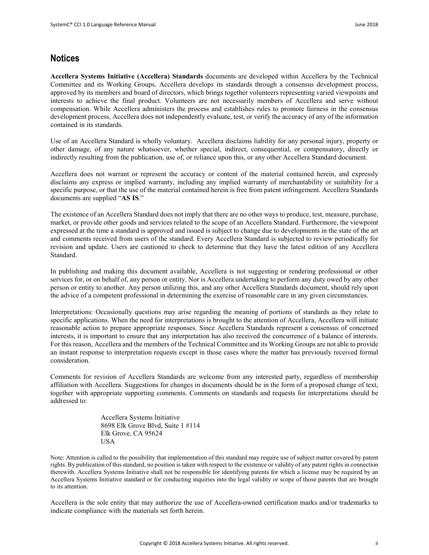# **Notices**

**Accellera Systems Initiative (Accellera) Standards** documents are developed within Accellera by the Technical Committee and its Working Groups. Accellera develops its standards through a consensus development process, approved by its members and board of directors, which brings together volunteers representing varied viewpoints and interests to achieve the final product. Volunteers are not necessarily members of Accellera and serve without compensation. While Accellera administers the process and establishes rules to promote fairness in the consensus development process, Accellera does not independently evaluate, test, or verify the accuracy of any of the information contained in its standards.

Use of an Accellera Standard is wholly voluntary. Accellera disclaims liability for any personal injury, property or other damage, of any nature whatsoever, whether special, indirect, consequential, or compensatory, directly or indirectly resulting from the publication, use of, or reliance upon this, or any other Accellera Standard document.

Accellera does not warrant or represent the accuracy or content of the material contained herein, and expressly disclaims any express or implied warranty, including any implied warranty of merchantability or suitability for a specific purpose, or that the use of the material contained herein is free from patent infringement. Accellera Standards documents are supplied "**AS IS**."

The existence of an Accellera Standard does not imply that there are no other ways to produce, test, measure, purchase, market, or provide other goods and services related to the scope of an Accellera Standard. Furthermore, the viewpoint expressed at the time a standard is approved and issued is subject to change due to developments in the state of the art and comments received from users of the standard. Every Accellera Standard is subjected to review periodically for revision and update. Users are cautioned to check to determine that they have the latest edition of any Accellera Standard.

In publishing and making this document available, Accellera is not suggesting or rendering professional or other services for, or on behalf of, any person or entity. Nor is Accellera undertaking to perform any duty owed by any other person or entity to another. Any person utilizing this, and any other Accellera Standards document, should rely upon the advice of a competent professional in determining the exercise of reasonable care in any given circumstances.

Interpretations: Occasionally questions may arise regarding the meaning of portions of standards as they relate to specific applications. When the need for interpretations is brought to the attention of Accellera, Accellera will initiate reasonable action to prepare appropriate responses. Since Accellera Standards represent a consensus of concerned interests, it is important to ensure that any interpretation has also received the concurrence of a balance of interests. For this reason, Accellera and the members of the Technical Committee and its Working Groups are not able to provide an instant response to interpretation requests except in those cases where the matter has previously received formal consideration.

Comments for revision of Accellera Standards are welcome from any interested party, regardless of membership affiliation with Accellera. Suggestions for changes in documents should be in the form of a proposed change of text, together with appropriate supporting comments. Comments on standards and requests for interpretations should be addressed to:

> Accellera Systems Initiative 8698 Elk Grove Blvd, Suite 1 #114 Elk Grove, CA 95624 USA

Note: Attention is called to the possibility that implementation of this standard may require use of subject matter covered by patent rights. By publication of this standard, no position is taken with respect to the existence or validity of any patent rights in connection therewith. Accellera Systems Initiative shall not be responsible for identifying patents for which a license may be required by an Accellera Systems Initiative standard or for conducting inquiries into the legal validity or scope of those patents that are brought to its attention.

Accellera is the sole entity that may authorize the use of Accellera-owned certification marks and/or trademarks to indicate compliance with the materials set forth herein.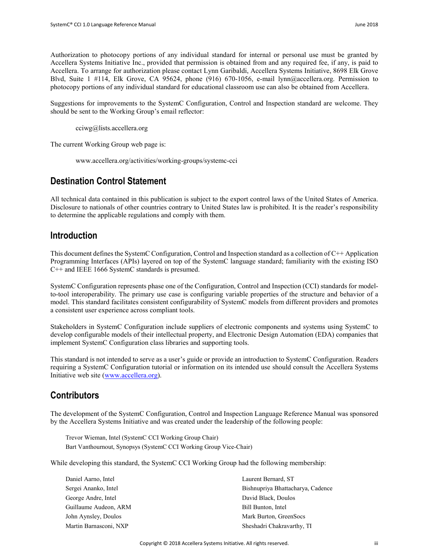Authorization to photocopy portions of any individual standard for internal or personal use must be granted by Accellera Systems Initiative Inc., provided that permission is obtained from and any required fee, if any, is paid to Accellera. To arrange for authorization please contact Lynn Garibaldi, Accellera Systems Initiative, 8698 Elk Grove Blvd, Suite 1 #114, Elk Grove, CA 95624, phone (916) 670-1056, e-mail lynn@accellera.org. Permission to photocopy portions of any individual standard for educational classroom use can also be obtained from Accellera.

Suggestions for improvements to the SystemC Configuration, Control and Inspection standard are welcome. They should be sent to the Working Group's email reflector:

cciwg@lists.accellera.org

The current Working Group web page is:

www.accellera.org/activities/working-groups/systemc-cci

# **Destination Control Statement**

All technical data contained in this publication is subject to the export control laws of the United States of America. Disclosure to nationals of other countries contrary to United States law is prohibited. It is the reader's responsibility to determine the applicable regulations and comply with them.

# **Introduction**

This document defines the SystemC Configuration, Control and Inspection standard as a collection of C++ Application Programming Interfaces (APIs) layered on top of the SystemC language standard; familiarity with the existing ISO C++ and IEEE 1666 SystemC standards is presumed.

SystemC Configuration represents phase one of the Configuration, Control and Inspection (CCI) standards for modelto-tool interoperability. The primary use case is configuring variable properties of the structure and behavior of a model. This standard facilitates consistent configurability of SystemC models from different providers and promotes a consistent user experience across compliant tools.

Stakeholders in SystemC Configuration include suppliers of electronic components and systems using SystemC to develop configurable models of their intellectual property, and Electronic Design Automation (EDA) companies that implement SystemC Configuration class libraries and supporting tools.

This standard is not intended to serve as a user's guide or provide an introduction to SystemC Configuration. Readers requiring a SystemC Configuration tutorial or information on its intended use should consult the Accellera Systems Initiative web site [\(www.accellera.org\)](http://www.accellera.org/).

# **Contributors**

The development of the SystemC Configuration, Control and Inspection Language Reference Manual was sponsored by the Accellera Systems Initiative and was created under the leadership of the following people:

Trevor Wieman, Intel (SystemC CCI Working Group Chair) Bart Vanthournout, Synopsys (SystemC CCI Working Group Vice-Chair)

While developing this standard, the SystemC CCI Working Group had the following membership:

| Daniel Aarno, Intel    | Laurent Bernard, ST               |
|------------------------|-----------------------------------|
| Sergei Ananko, Intel   | Bishnupriya Bhattacharya, Cadence |
| George Andre, Intel    | David Black, Doulos               |
| Guillaume Audeon, ARM  | Bill Bunton, Intel                |
| John Aynsley, Doulos   | Mark Burton, GreenSocs            |
| Martin Barnasconi, NXP | Sheshadri Chakravarthy, TI        |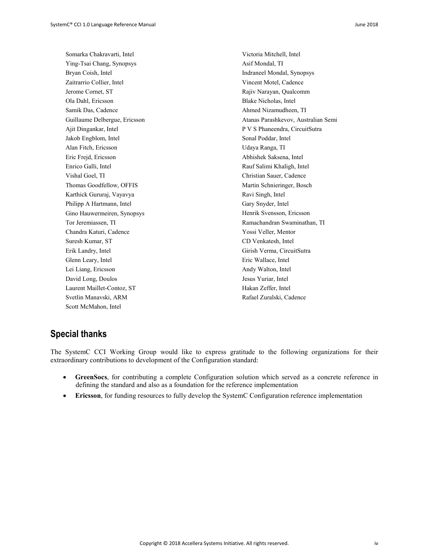Somarka Chakravarti, Intel Ying-Tsai Chang, Synopsys Bryan Coish, Intel Zaitrarrio Collier, Intel Jerome Cornet, ST Ola Dahl, Ericsson Samik Das, Cadence Guillaume Delbergue, Ericsson Ajit Dingankar, Intel Jakob Engblom, Intel Alan Fitch, Ericsson Eric Frejd, Ericsson Enrico Galli, Intel Vishal Goel, TI Thomas Goodfellow, OFFIS Karthick Gururaj, Vayavya Philipp A Hartmann, Intel Gino Hauwermeiren, Synopsys Tor Jeremiassen, TI Chandra Katuri, Cadence Suresh Kumar, ST Erik Landry, Intel Glenn Leary, Intel Lei Liang, Ericsson David Long, Doulos Laurent Maillet-Contoz, ST Svetlin Manavski, ARM Scott McMahon, Intel

Victoria Mitchell, Intel Asif Mondal, TI Indraneel Mondal, Synopsys Vincent Motel, Cadence Rajiv Narayan, Qualcomm Blake Nicholas, Intel Ahmed Nizamudheen, TI Atanas Parashkevov, Australian Semi P V S Phaneendra, CircuitSutra Sonal Poddar, Intel Udaya Ranga, TI Abhishek Saksena, Intel Rauf Salimi Khaligh, Intel Christian Sauer, Cadence Martin Schnieringer, Bosch Ravi Singh, Intel Gary Snyder, Intel Henrik Svensson, Ericsson Ramachandran Swaminathan, TI Yossi Veller, Mentor CD Venkatesh, Intel Girish Verma, CircuitSutra Eric Wallace, Intel Andy Walton, Intel Jesus Yuriar, Intel Hakan Zeffer, Intel Rafael Zuralski, Cadence

# **Special thanks**

The SystemC CCI Working Group would like to express gratitude to the following organizations for their extraordinary contributions to development of the Configuration standard:

- **GreenSocs**, for contributing a complete Configuration solution which served as a concrete reference in defining the standard and also as a foundation for the reference implementation
- **Ericsson**, for funding resources to fully develop the SystemC Configuration reference implementation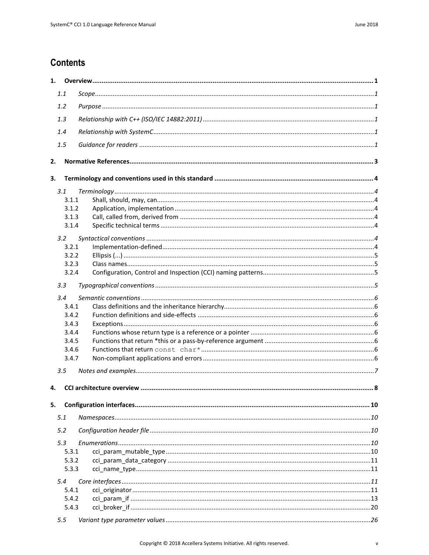# **Contents**

|    | 1.1   |  |  |  |  |  |
|----|-------|--|--|--|--|--|
|    | 1.2   |  |  |  |  |  |
|    | 1.3   |  |  |  |  |  |
|    | 1.4   |  |  |  |  |  |
|    |       |  |  |  |  |  |
|    | 1.5   |  |  |  |  |  |
| 2. |       |  |  |  |  |  |
| 3. |       |  |  |  |  |  |
|    |       |  |  |  |  |  |
|    | 3.1   |  |  |  |  |  |
|    | 3.1.1 |  |  |  |  |  |
|    | 3.1.2 |  |  |  |  |  |
|    | 3.1.3 |  |  |  |  |  |
|    | 3.1.4 |  |  |  |  |  |
|    | 3.2   |  |  |  |  |  |
|    | 3.2.1 |  |  |  |  |  |
|    | 3.2.2 |  |  |  |  |  |
|    | 3.2.3 |  |  |  |  |  |
|    | 3.2.4 |  |  |  |  |  |
|    |       |  |  |  |  |  |
|    | 3.3   |  |  |  |  |  |
|    | 3.4   |  |  |  |  |  |
|    | 3.4.1 |  |  |  |  |  |
|    | 3.4.2 |  |  |  |  |  |
|    | 3.4.3 |  |  |  |  |  |
|    | 3.4.4 |  |  |  |  |  |
|    | 3.4.5 |  |  |  |  |  |
|    | 3.4.6 |  |  |  |  |  |
|    | 3.4.7 |  |  |  |  |  |
|    | 3.5   |  |  |  |  |  |
|    |       |  |  |  |  |  |
|    |       |  |  |  |  |  |
|    |       |  |  |  |  |  |
| 5. |       |  |  |  |  |  |
|    | 5.1   |  |  |  |  |  |
|    | 5.2   |  |  |  |  |  |
|    | 5.3   |  |  |  |  |  |
|    | 5.3.1 |  |  |  |  |  |
|    | 5.3.2 |  |  |  |  |  |
|    | 5.3.3 |  |  |  |  |  |
|    | 5.4   |  |  |  |  |  |
|    | 5.4.1 |  |  |  |  |  |
|    | 5.4.2 |  |  |  |  |  |
|    | 5.4.3 |  |  |  |  |  |
|    |       |  |  |  |  |  |
|    | 5.5   |  |  |  |  |  |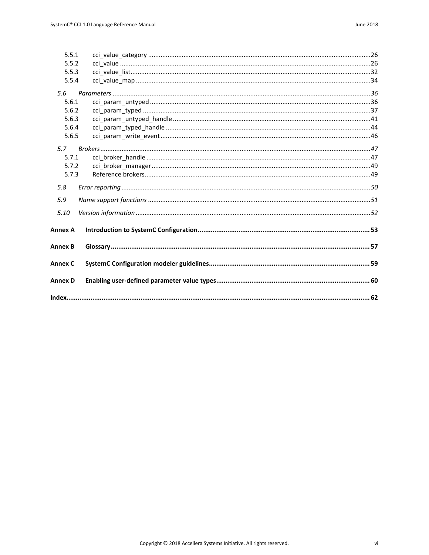|                | 5.5.1 |  |
|----------------|-------|--|
| 5.5.2          |       |  |
| 5.5.3          |       |  |
| 5.5.4          |       |  |
| 5.6            |       |  |
| 5.6.1          |       |  |
| 5.6.2          |       |  |
| 5.6.3          |       |  |
| 5.6.4          |       |  |
| 5.6.5          |       |  |
|                |       |  |
| 5.7            |       |  |
| 5.7.1          |       |  |
| 5.7.2          |       |  |
| 5.7.3          |       |  |
| 5.8            |       |  |
|                |       |  |
| 5.9            |       |  |
| 5.10           |       |  |
|                |       |  |
| <b>Annex A</b> |       |  |
| <b>Annex B</b> |       |  |
|                |       |  |
| Annex C        |       |  |
| <b>Annex D</b> |       |  |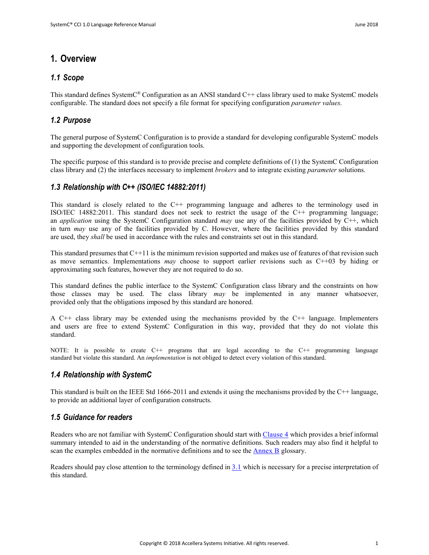# <span id="page-6-0"></span>**1. Overview**

# <span id="page-6-1"></span>*1.1 Scope*

This standard defines SystemC® Configuration as an ANSI standard C++ class library used to make SystemC models configurable. The standard does not specify a file format for specifying configuration *parameter values*.

# <span id="page-6-2"></span>*1.2 Purpose*

The general purpose of SystemC Configuration is to provide a standard for developing configurable SystemC models and supporting the development of configuration tools.

The specific purpose of this standard is to provide precise and complete definitions of (1) the SystemC Configuration class library and (2) the interfaces necessary to implement *brokers* and to integrate existing *parameter* solutions.

# <span id="page-6-3"></span>*1.3 Relationship with C++ (ISO/IEC 14882:2011)*

This standard is closely related to the C++ programming language and adheres to the terminology used in ISO/IEC 14882:2011. This standard does not seek to restrict the usage of the C++ programming language; an *application* using the SystemC Configuration standard *may* use any of the facilities provided by C++, which in turn *may* use any of the facilities provided by C. However, where the facilities provided by this standard are used, they *shall* be used in accordance with the rules and constraints set out in this standard.

This standard presumes that  $C+11$  is the minimum revision supported and makes use of features of that revision such as move semantics. Implementations *may* choose to support earlier revisions such as C++03 by hiding or approximating such features, however they are not required to do so.

This standard defines the public interface to the SystemC Configuration class library and the constraints on how those classes may be used. The class library *may* be implemented in any manner whatsoever, provided only that the obligations imposed by this standard are honored.

A C++ class library may be extended using the mechanisms provided by the C++ language. Implementers and users are free to extend SystemC Configuration in this way, provided that they do not violate this standard.

NOTE: It is possible to create C++ programs that are legal according to the C++ programming language standard but violate this standard. An *implementation* is not obliged to detect every violation of this standard.

# <span id="page-6-4"></span>*1.4 Relationship with SystemC*

This standard is built on the IEEE Std 1666-2011 and extends it using the mechanisms provided by the C++ language, to provide an additional layer of configuration constructs.

# <span id="page-6-5"></span>*1.5 Guidance for readers*

Readers who are not familiar with SystemC Configuration should start with Clause [4](#page-13-1) which provides a brief informal summary intended to aid in the understanding of the normative definitions. Such readers may also find it helpful to scan the examples embedded in the normative definitions and to see the **[Annex B](#page-62-0)** glossary.

Readers should pay close attention to the terminology defined in [3.1](#page-9-1) which is necessary for a precise interpretation of this standard.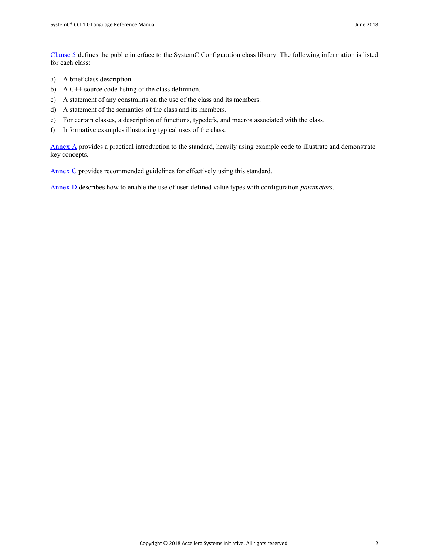Clause [5](#page-15-0) defines the public interface to the SystemC Configuration class library. The following information is listed for each class:

- a) A brief class description.
- b) A C++ source code listing of the class definition.
- c) A statement of any constraints on the use of the class and its members.
- d) A statement of the semantics of the class and its members.
- e) For certain classes, a description of functions, typedefs, and macros associated with the class.
- f) Informative examples illustrating typical uses of the class.

[Annex A](#page-58-0) provides a practical introduction to the standard, heavily using example code to illustrate and demonstrate key concepts.

[Annex C](#page-64-0) provides recommended guidelines for effectively using this standard.

[Annex D](#page-65-0) describes how to enable the use of user-defined value types with configuration *parameters*.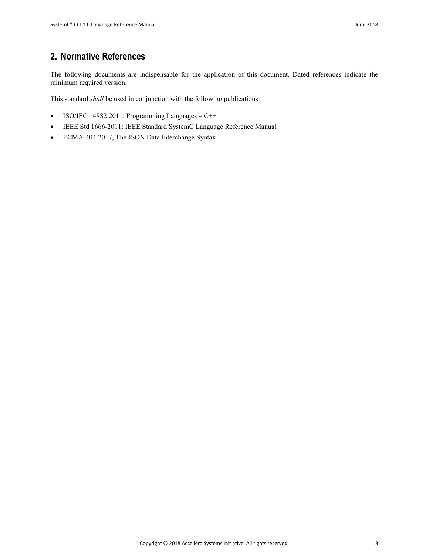# <span id="page-8-0"></span>**2. Normative References**

The following documents are indispensable for the application of this document. Dated references indicate the minimum required version.

This standard *shall* be used in conjunction with the following publications:

- ISO/IEC 14882:2011, Programming Languages C++
- IEEE Std 1666-2011: IEEE Standard SystemC Language Reference Manual
- ECMA-404:2017, The JSON Data Interchange Syntax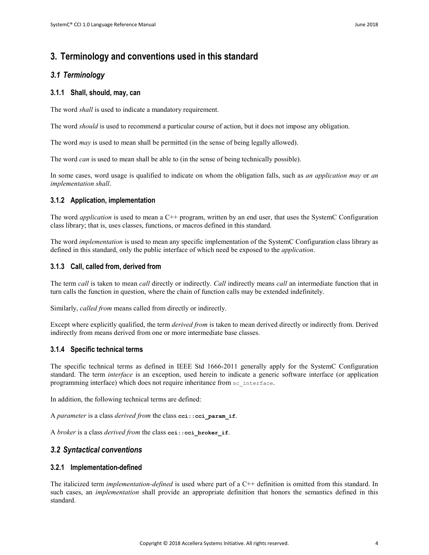# <span id="page-9-0"></span>**3. Terminology and conventions used in this standard**

# <span id="page-9-1"></span>*3.1 Terminology*

# <span id="page-9-2"></span>**3.1.1 Shall, should, may, can**

The word *shall* is used to indicate a mandatory requirement.

The word *should* is used to recommend a particular course of action, but it does not impose any obligation.

The word *may* is used to mean shall be permitted (in the sense of being legally allowed).

The word *can* is used to mean shall be able to (in the sense of being technically possible).

In some cases, word usage is qualified to indicate on whom the obligation falls, such as *an application may* or *an implementation shall*.

# <span id="page-9-3"></span>**3.1.2 Application, implementation**

The word *application* is used to mean a C++ program, written by an end user, that uses the SystemC Configuration class library; that is, uses classes, functions, or macros defined in this standard.

The word *implementation* is used to mean any specific implementation of the SystemC Configuration class library as defined in this standard, only the public interface of which need be exposed to the *application*.

# <span id="page-9-4"></span>**3.1.3 Call, called from, derived from**

The term *call* is taken to mean *call* directly or indirectly. *Call* indirectly means *call* an intermediate function that in turn calls the function in question, where the chain of function calls may be extended indefinitely.

Similarly, *called from* means called from directly or indirectly.

Except where explicitly qualified, the term *derived from* is taken to mean derived directly or indirectly from. Derived indirectly from means derived from one or more intermediate base classes.

# <span id="page-9-5"></span>**3.1.4 Specific technical terms**

The specific technical terms as defined in IEEE Std 1666-2011 generally apply for the SystemC Configuration standard. The term *interface* is an exception, used herein to indicate a generic software interface (or application programming interface) which does not require inheritance from sc\_interface.

In addition, the following technical terms are defined:

A *parameter* is a class *derived from* the class **cci**::**cci\_param\_if**.

A *broker* is a class *derived from* the class **cci**::**cci\_broker\_if**.

# <span id="page-9-6"></span>*3.2 Syntactical conventions*

# <span id="page-9-7"></span>**3.2.1 Implementation-defined**

The italicized term *implementation-defined* is used where part of a C++ definition is omitted from this standard. In such cases, an *implementation* shall provide an appropriate definition that honors the semantics defined in this standard.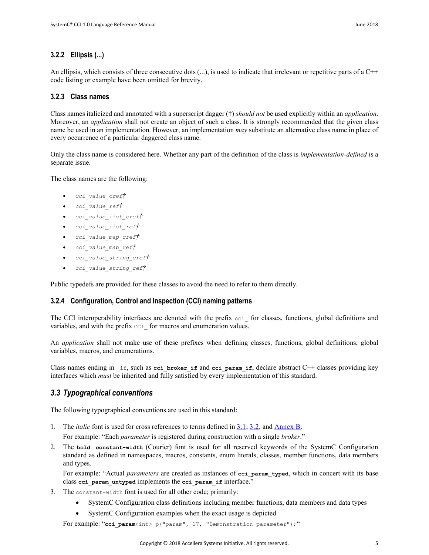# <span id="page-10-0"></span>**3.2.2 Ellipsis (...)**

An ellipsis, which consists of three consecutive dots (...), is used to indicate that irrelevant or repetitive parts of a C++ code listing or example have been omitted for brevity.

# <span id="page-10-1"></span>**3.2.3 Class names**

Class names italicized and annotated with a superscript dagger (†) *should not* be used explicitly within an *application*. Moreover, an *application* shall not create an object of such a class. It is strongly recommended that the given class name be used in an implementation. However, an implementation *may* substitute an alternative class name in place of every occurrence of a particular daggered class name.

Only the class name is considered here. Whether any part of the definition of the class is *implementation-defined* is a separate issue.

The class names are the following:

- *cci\_value\_cref†*
- *cci\_value\_ref†*
- *cci\_value\_list\_cref†*
- *cci\_value\_list\_ref†*
- *cci\_value\_map\_cref†*
- *cci\_value\_map\_ref†*
- *cci\_value\_string\_cref†*
- *cci\_value\_string\_ref†*

Public typedefs are provided for these classes to avoid the need to refer to them directly.

# <span id="page-10-2"></span>**3.2.4 Configuration, Control and Inspection (CCI) naming patterns**

The CCI interoperability interfaces are denoted with the prefix  $cci$  for classes, functions, global definitions and variables, and with the prefix  $ccI$  for macros and enumeration values.

An *application* shall not make use of these prefixes when defining classes, functions, global definitions, global variables, macros, and enumerations.

Class names ending in if, such as **cci** broker if and **cci** param if, declare abstract C++ classes providing key interfaces which *must* be inherited and fully satisfied by every implementation of this standard.

# <span id="page-10-3"></span>*3.3 Typographical conventions*

The following typographical conventions are used in this standard:

- 1. The *italic* font is used for cross references to terms defined in [3.1,](#page-9-1) [3.2,](#page-9-6) and [Annex B.](#page-62-0)
- For example: "Each *parameter* is registered during construction with a single *broker*."
- 2. The **bold constant-width** (Courier) font is used for all reserved keywords of the SystemC Configuration standard as defined in namespaces, macros, constants, enum literals, classes, member functions, data members and types.

For example: "Actual *parameters* are created as instances of cei param typed, which in concert with its base class **cci\_param\_untyped** implements the **cci\_param\_if** interface."

- 3. The constant-width font is used for all other code; primarily:
	- SystemC Configuration class definitions including member functions, data members and data types
	- SystemC Configuration examples when the exact usage is depicted

For example: "**cci\_param**<int> p("param", 17, "Demonstration parameter");"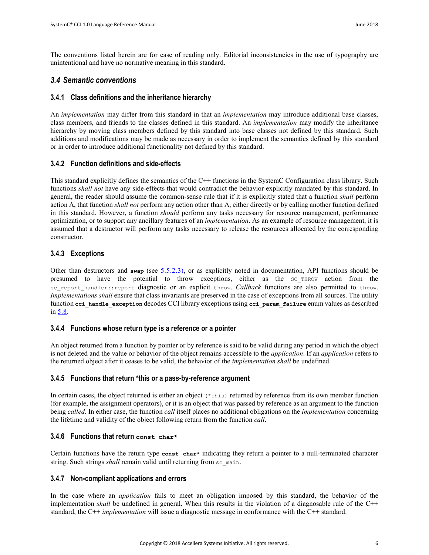The conventions listed herein are for ease of reading only. Editorial inconsistencies in the use of typography are unintentional and have no normative meaning in this standard.

# <span id="page-11-0"></span>*3.4 Semantic conventions*

# <span id="page-11-1"></span>**3.4.1 Class definitions and the inheritance hierarchy**

An *implementation* may differ from this standard in that an *implementation* may introduce additional base classes, class members, and friends to the classes defined in this standard. An *implementation* may modify the inheritance hierarchy by moving class members defined by this standard into base classes not defined by this standard. Such additions and modifications may be made as necessary in order to implement the semantics defined by this standard or in order to introduce additional functionality not defined by this standard.

# <span id="page-11-2"></span>**3.4.2 Function definitions and side-effects**

This standard explicitly defines the semantics of the C++ functions in the SystemC Configuration class library. Such functions *shall not* have any side-effects that would contradict the behavior explicitly mandated by this standard. In general, the reader should assume the common-sense rule that if it is explicitly stated that a function *shall* perform action A, that function *shall not* perform any action other than A, either directly or by calling another function defined in this standard. However, a function *should* perform any tasks necessary for resource management, performance optimization, or to support any ancillary features of an *implementation*. As an example of resource management, it is assumed that a destructor will perform any tasks necessary to release the resources allocated by the corresponding constructor.

# <span id="page-11-3"></span>**3.4.3 Exceptions**

Other than destructors and **swap** (see [5.5.2.3\)](#page-34-0), or as explicitly noted in documentation, API functions should be presumed to have the potential to throw exceptions, either as the SC\_THROW action from the sc\_report\_handler::report\_diagnostic or an explicit throw. *Callback* functions are also permitted to throw. *Implementations shall* ensure that class invariants are preserved in the case of exceptions from all sources. The utility function **cci\_handle\_exception** decodes CCI library exceptions using **cci\_param\_failure** enum values as described in [5.8.](#page-55-0)

# <span id="page-11-4"></span>**3.4.4 Functions whose return type is a reference or a pointer**

An object returned from a function by pointer or by reference is said to be valid during any period in which the object is not deleted and the value or behavior of the object remains accessible to the *application*. If an *application* refers to the returned object after it ceases to be valid, the behavior of the *implementation shall* be undefined.

# <span id="page-11-5"></span>**3.4.5 Functions that return \*this or a pass-by-reference argument**

In certain cases, the object returned is either an object (\*this) returned by reference from its own member function (for example, the assignment operators), or it is an object that was passed by reference as an argument to the function being *called*. In either case, the function *call* itself places no additional obligations on the *implementation* concerning the lifetime and validity of the object following return from the function *call*.

# <span id="page-11-6"></span>**3.4.6 Functions that return const char\***

Certain functions have the return type **const char\*** indicating they return a pointer to a null-terminated character string. Such strings *shall* remain valid until returning from sc\_main.

# <span id="page-11-7"></span>**3.4.7 Non-compliant applications and errors**

In the case where an *application* fails to meet an obligation imposed by this standard, the behavior of the implementation *shall* be undefined in general. When this results in the violation of a diagnosable rule of the C++ standard, the C++ *implementation* will issue a diagnostic message in conformance with the C++ standard.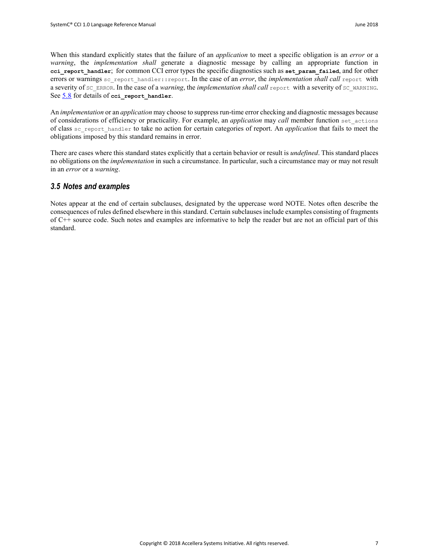When this standard explicitly states that the failure of an *application* to meet a specific obligation is an *error* or a *warning*, the *implementation shall* generate a diagnostic message by calling an appropriate function in **cci\_report\_handler**; for common CCI error types the specific diagnostics such as **set\_param\_failed**, and for other errors or warnings sc\_report\_handler::report. In the case of an *error*, the *implementation shall call* report with a severity of SC\_ERROR. In the case of a *warning*, the *implementation shall call* report with a severity of SC\_WARNING. See [5.8](#page-55-0) for details of **cci\_report\_handler**.

An *implementation* or an *application* may choose to suppress run-time error checking and diagnostic messages because of considerations of efficiency or practicality. For example, an *application* may *call* member function set\_actions of class sc\_report\_handler to take no action for certain categories of report. An *application* that fails to meet the obligations imposed by this standard remains in error.

There are cases where this standard states explicitly that a certain behavior or result is *undefined*. This standard places no obligations on the *implementation* in such a circumstance. In particular, such a circumstance may or may not result in an *error* or a *warning*.

# <span id="page-12-0"></span>*3.5 Notes and examples*

Notes appear at the end of certain subclauses, designated by the uppercase word NOTE. Notes often describe the consequences of rules defined elsewhere in this standard. Certain subclauses include examples consisting of fragments of C++ source code. Such notes and examples are informative to help the reader but are not an official part of this standard.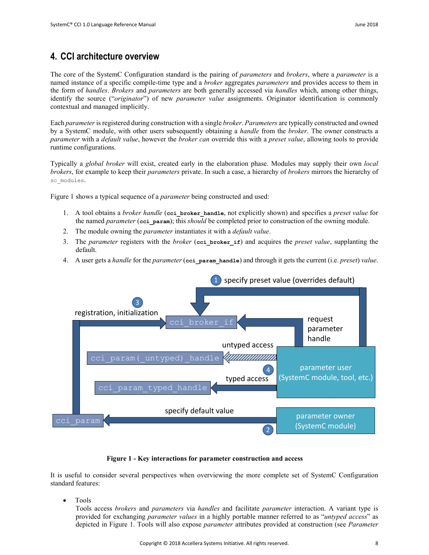# <span id="page-13-0"></span>**4. CCI architecture overview**

The core of the SystemC Configuration standard is the pairing of *parameters* and *brokers*, where a *parameter* is a named instance of a specific compile-time type and a *broker* aggregates *parameters* and provides access to them in the form of *handles*. *Brokers* and *parameters* are both generally accessed via *handles* which, among other things, identify the source ("*originator*") of new *parameter value* assignments. Originator identification is commonly contextual and managed implicitly.

Each *parameter*is registered during construction with a single *broker*. *Parameters* are typically constructed and owned by a SystemC module, with other users subsequently obtaining a *handle* from the *broker*. The owner constructs a *parameter* with a *default value*, however the *broker can* override this with a *preset value*, allowing tools to provide runtime configurations.

Typically a *global broker* will exist, created early in the elaboration phase. Modules may supply their own *local brokers*, for example to keep their *parameters* private. In such a case, a hierarchy of *brokers* mirrors the hierarchy of sc\_modules.

[Figure 1](#page-13-2) shows a typical sequence of a *parameter* being constructed and used:

- 1. A tool obtains a *broker handle* (**cci\_broker\_handle**, not explicitly shown) and specifies a *preset value* for the named *parameter* (**cci\_param**); this *should* be completed prior to construction of the owning module.
- 2. The module owning the *parameter* instantiates it with a *default value*.
- 3. The *parameter* registers with the *broker* (**cci\_broker\_if**) and acquires the *preset value*, supplanting the default.
- 4. A user gets a *handle* for the *parameter* (**cci\_param\_handle**) and through it gets the current (i.e. *preset*) *value*.

<span id="page-13-1"></span>

#### **Figure 1 - Key interactions for parameter construction and access**

<span id="page-13-2"></span>It is useful to consider several perspectives when overviewing the more complete set of SystemC Configuration standard features:

• Tools

Tools access *brokers* and *parameters* via *handles* and facilitate *parameter* interaction. A variant type is provided for exchanging *parameter values* in a highly portable manner referred to as "*untyped access*" as depicted in [Figure 1.](#page-13-2) Tools will also expose *parameter* attributes provided at construction (see *Parameter*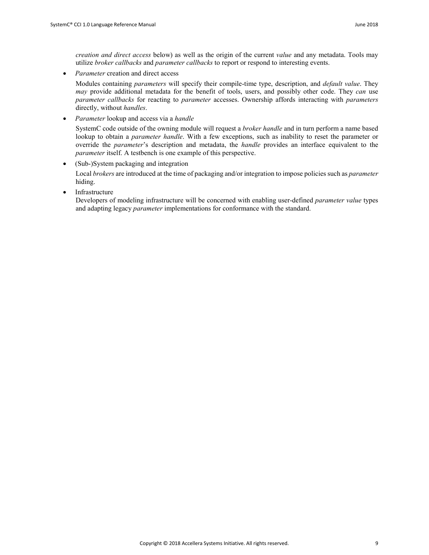*creation and direct access* below) as well as the origin of the current *value* and any metadata. Tools may utilize *broker callbacks* and *parameter callbacks* to report or respond to interesting events.

• *Parameter* creation and direct access

Modules containing *parameters* will specify their compile-time type, description, and *default value*. They *may* provide additional metadata for the benefit of tools, users, and possibly other code. They *can* use *parameter callbacks* for reacting to *parameter* accesses. Ownership affords interacting with *parameters* directly, without *handles*.

• *Parameter* lookup and access via a *handle*

SystemC code outside of the owning module will request a *broker handle* and in turn perform a name based lookup to obtain a *parameter handle*. With a few exceptions, such as inability to reset the parameter or override the *parameter*'s description and metadata, the *handle* provides an interface equivalent to the *parameter* itself. A testbench is one example of this perspective.

• (Sub-)System packaging and integration

Local *brokers* are introduced at the time of packaging and/or integration to impose policies such as *parameter* hiding.

**Infrastructure** 

Developers of modeling infrastructure will be concerned with enabling user-defined *parameter value* types and adapting legacy *parameter* implementations for conformance with the standard.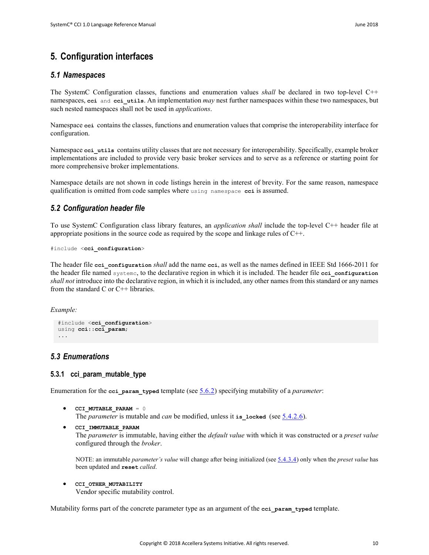# <span id="page-15-0"></span>**5. Configuration interfaces**

# <span id="page-15-1"></span>*5.1 Namespaces*

The SystemC Configuration classes, functions and enumeration values *shall* be declared in two top-level C++ namespaces, **cci** and **cci\_utils**. An implementation *may* nest further namespaces within these two namespaces, but such nested namespaces shall not be used in *applications*.

Namespace **cci** contains the classes, functions and enumeration values that comprise the interoperability interface for configuration.

Namespace **cci\_utils** contains utility classes that are not necessary for interoperability. Specifically, example broker implementations are included to provide very basic broker services and to serve as a reference or starting point for more comprehensive broker implementations.

Namespace details are not shown in code listings herein in the interest of brevity. For the same reason, namespace qualification is omitted from code samples where using namespace **cci** is assumed.

# <span id="page-15-2"></span>*5.2 Configuration header file*

To use SystemC Configuration class library features, an *application shall* include the top-level C++ header file at appropriate positions in the source code as required by the scope and linkage rules of C++.

```
#include <cci_configuration>
```
The header file **cci\_configuration** *shall* add the name **cci**, as well as the names defined in IEEE Std 1666-2011 for the header file named systemc, to the declarative region in which it is included. The header file **cci\_configuration** *shall not* introduce into the declarative region, in which it is included, any other names from this standard or any names from the standard C or  $C_{++}$  libraries.

*Example:*

```
#include <cci_configuration>
using cci::cci_param;
...
```
# <span id="page-15-3"></span>*5.3 Enumerations*

# <span id="page-15-4"></span>**5.3.1 cci\_param\_mutable\_type**

Enumeration for the **cci\_param\_typed** template (see [5.6.2\)](#page-42-0) specifying mutability of a *parameter*:

• **CCI\_MUTABLE\_PARAM** = 0

The *parameter* is mutable and *can* be modified, unless it **is\_locked** (see [5.4.2.6\)](#page-21-0).

• **CCI\_IMMUTABLE\_PARAM** The *parameter* is immutable, having either the *default value* with which it was constructed or a *preset value* configured through the *broker*.

NOTE: an immutable *parameter's value* will change after being initialized (se[e 5.4.3.4\)](#page-28-0) only when the *preset value* has been updated and **reset** *called*.

• **CCI\_OTHER\_MUTABILITY** Vendor specific mutability control.

Mutability forms part of the concrete parameter type as an argument of the **cci\_param\_typed** template.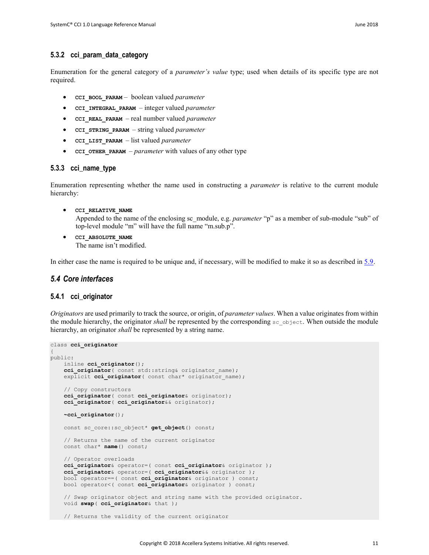# <span id="page-16-0"></span>**5.3.2 cci\_param\_data\_category**

Enumeration for the general category of a *parameter's value* type; used when details of its specific type are not required.

- **CCI\_BOOL\_PARAM** boolean valued *parameter*
- **CCI\_INTEGRAL\_PARAM** integer valued *parameter*
- **CCI\_REAL\_PARAM** real number valued *parameter*
- **CCI\_STRING\_PARAM** string valued *parameter*
- **CCI\_LIST\_PARAM** list valued *parameter*
- **CCI OTHER PARAM** *parameter* with values of any other type

#### <span id="page-16-1"></span>**5.3.3 cci\_name\_type**

Enumeration representing whether the name used in constructing a *parameter* is relative to the current module hierarchy:

- **CCI\_RELATIVE\_NAME** Appended to the name of the enclosing sc\_module, e.g. *parameter* "p" as a member of sub-module "sub" of top-level module "m" will have the full name "m.sub.p".
- **CCI\_ABSOLUTE\_NAME** The name isn't modified.

In either case the name is required to be unique and, if necessary, will be modified to make it so as described in  $5.9$ .

#### <span id="page-16-2"></span>*5.4 Core interfaces*

#### <span id="page-16-3"></span>**5.4.1 cci\_originator**

*Originators* are used primarily to track the source, or origin, of *parameter values*. When a value originates from within the module hierarchy, the originator *shall* be represented by the corresponding sc\_object. When outside the module hierarchy, an originator *shall* be represented by a string name.

```
class cci_originator
{
public:
    inline cci originator();
    cci originator ( const std::string& originator name);
    explicit cci originator( const char* originator name);
    // Copy constructors
     cci_originator( const cci_originator& originator);
     cci_originator( cci_originator&& originator);
     ~cci_originator();
    const sc_core::sc_object* get_object() const;
     // Returns the name of the current originator
    const char* name() const;
     // Operator overloads
     cci_originator& operator=( const cci_originator& originator );
     cci_originator& operator=( cci_originator&& originator );
     bool operator==( const cci_originator& originator ) const;
     bool operator<( const cci_originator& originator ) const;
     // Swap originator object and string name with the provided originator.
     void swap( cci_originator& that );
    // Returns the validity of the current originator
```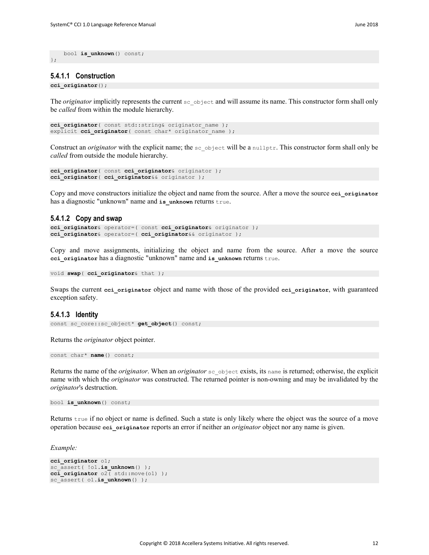```
 bool is_unknown() const;
```
#### **5.4.1.1 Construction**

**cci\_originator**();

};

The *originator* implicitly represents the current sc\_object and will assume its name. This constructor form shall only be *called* from within the module hierarchy.

```
cci originator ( const std::string& originator name );
explicit cci_originator( const char* originator_name );
```
Construct an *originator* with the explicit name; the sc object will be a nullptr. This constructor form shall only be *called* from outside the module hierarchy.

```
cci_originator( const cci_originator& originator );
cci_originator( cci_originator&& originator );
```
Copy and move constructors initialize the object and name from the source. After a move the source **cci\_originator** has a diagnostic "unknown" name and **is\_unknown** returns true.

#### **5.4.1.2 Copy and swap**

**cci\_originator**& operator=( const **cci\_originator**& originator ); **cci\_originator**& operator=( **cci\_originator**&& originator );

Copy and move assignments, initializing the object and name from the source. After a move the source **cci\_originator** has a diagnostic "unknown" name and **is\_unknown** returns true.

void **swap**( **cci\_originator**& that );

Swaps the current **cci\_originator** object and name with those of the provided **cci\_originator**, with guaranteed exception safety.

#### <span id="page-17-0"></span>**5.4.1.3 Identity**

const sc\_core::sc\_object\* **get\_object**() const;

Returns the *originator* object pointer.

const char\* **name**() const;

Returns the name of the *originator*. When an *originator* sc\_object exists, its name is returned; otherwise, the explicit name with which the *originator* was constructed. The returned pointer is non-owning and may be invalidated by the *originator*'s destruction.

bool **is\_unknown**() const;

Returns true if no object or name is defined. Such a state is only likely where the object was the source of a move operation because **cci\_originator** reports an error if neither an *originator* object nor any name is given.

*Example:*

```
cci_originator o1;
sc_assert( !o1.is_unknown() );
cci originator \circ2( std::move(o1) );
sc_assert( o1.is_unknown() );
```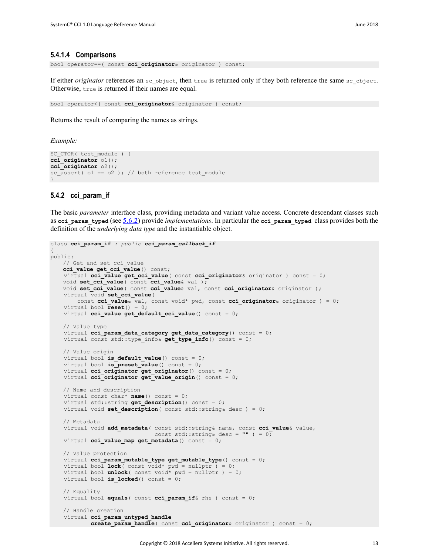#### **5.4.1.4 Comparisons**

bool operator==( const **cci\_originator**& originator ) const;

If either *originator* references an sc\_object, then true is returned only if they both reference the same sc\_object. Otherwise, true is returned if their names are equal.

bool operator<( const **cci\_originator**& originator ) const;

Returns the result of comparing the names as strings.

*Example:*

```
SC_CTOR( test_module ) {
cci_originator o1();
cci_originator o2();
sc_assert( ol == 02 ); // both reference test_module
}
```
## <span id="page-18-0"></span>**5.4.2 cci\_param\_if**

The basic *parameter* interface class, providing metadata and variant value access. Concrete descendant classes such as **cci\_param\_typed** (se[e 5.6.2\)](#page-42-0) provide *implementations*. In particular the **cci\_param\_typed** class provides both the definition of the *underlying data type* and the instantiable object.

```
class cci_param_if : public cci_param_callback_if
{
public:
   // Get and set cci value
   cci_value get_cci_value() const;
    virtual cci_value get_cci_value( const cci_originator& originator ) const = 0;
   void set cci value ( const cci value & val );
   void set_cci_value( const cci_value& val, const cci_originator& originator );
   virtual void set cci value(
       const cci value& val, const void* pwd, const cci originator& originator ) = 0;
   virtual bool \overline{\text{reset}}() = 0;
   virtual cci value get default cci value () const = 0;
   // Value type
    virtual cci_param_data_category get_data_category() const = 0;
    virtual const std::type_info& get_type_info() const = 0;
   // Value origin
   virtual bool is default value() const = 0;
   virtual bool is preset value() const = 0;
    virtual cci_originator get_originator() const = 0;
   virtual cci originator get value origin() const = 0;
   // Name and description
    virtual const char* name() const = 0;
   virtual std::string get description() const = 0;
    virtual void set_description( const std::string& desc ) = 0;
   // Metadata
    virtual void add_metadata( const std::string& name, const cci_value& value,
                                const std::string& desc = "" ) = 0; virtual cci_value_map get_metadata() const = 0;
   // Value protection
   virtual cci param mutable type get mutable type () const = 0;
   virtual bool lock( const void* pwd = nullptr ) = 0;
   virtual bool \text{unlock} ( const void* \text{pwd} = \text{nullptr} ) = 0;
   virtual bool is locked() const = 0;
   // Equality
    virtual bool equals( const cci_param_if& rhs ) const = 0;
   // Handle creation
     virtual cci_param_untyped_handle 
             create_param_handle( const cci_originator& originator ) const = 0;
```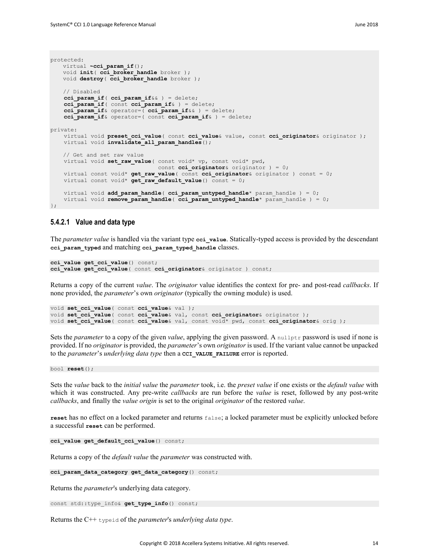```
protected:
   virtual ~cci param if();
   void init( cci broker handle broker );
   void destroy( cci_broker_handle broker );
   // Disabled
    cci_param_if( cci_param_if&& ) = delete;
     cci_param_if( const cci_param_if& ) = delete;
     cci_param_if& operator=( cci_param_if&& ) = delete;
     cci_param_if& operator=( const cci_param_if& ) = delete;
private:
    virtual void preset_cci_value( const cci_value& value, const cci_originator& originator );
   virtual void invalidate all param handles();
   // Get and set raw value
    virtual void set_raw_value( const void* vp, const void* pwd,
                                const cci originator& originator ) = 0;
    virtual const void* get_raw_value( const cci_originator& originator ) const = 0;
    virtual const void* get_raw_default_value() const = 0;
    virtual void add_param_handle( cci_param_untyped_handle* param_handle ) = 0;
    virtual void remove param handle ( cci param untyped handle* param handle ) = 0;
};
```
#### <span id="page-19-0"></span>**5.4.2.1 Value and data type**

The *parameter value* is handled via the variant type **cci\_value**. Statically-typed access is provided by the descendant **cci\_param\_typed** and matching **cci\_param\_typed\_handle** classes.

```
cci_value get_cci_value() const;
cci_value get_cci_value( const cci_originator& originator ) const;
```
Returns a copy of the current *value*. The *originator* value identifies the context for pre- and post-read *callbacks*. If none provided, the *parameter*'s own *originator* (typically the owning module) is used.

```
void set_cci_value( const cci_value& val );
void set_cci_value( const cci_value& val, const cci_originator& originator );
void set_cci_value( const cci_value& val, const void* pwd, const cci_originator& orig );
```
Sets the *parameter* to a copy of the given *value*, applying the given password. A nullptr password is used if none is provided. If no *originator* is provided, the *parameter*'s own *originator* is used. If the variant value cannot be unpacked to the *parameter*'s *underlying data type* then a **CCI\_VALUE\_FAILURE** error is reported.

bool **reset**();

Sets the *value* back to the *initial value* the *parameter* took, i.e. the *preset value* if one exists or the *default value* with which it was constructed. Any pre-write *callbacks* are run before the *value* is reset, followed by any post-write *callbacks*, and finally the *value origin* is set to the original *originator* of the restored *value*.

**reset** has no effect on a locked parameter and returns false; a locked parameter must be explicitly unlocked before a successful **reset** can be performed.

**cci\_value get\_default\_cci\_value**() const;

Returns a copy of the *default value* the *parameter* was constructed with.

**cci\_param\_data\_category get\_data\_category**() const;

Returns the *parameter*'s underlying data category.

const std::type info& get type info() const;

Returns the C++ typeid of the *parameter*'s *underlying data type*.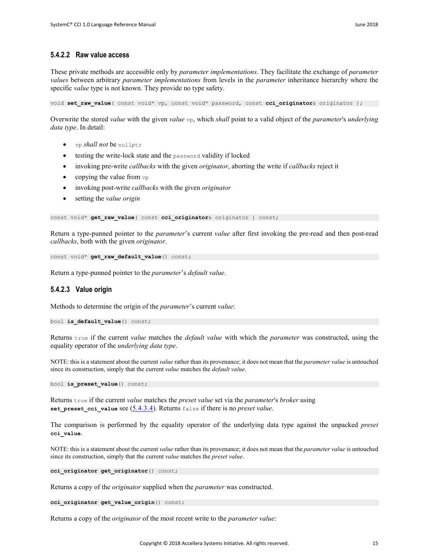# **5.4.2.2 Raw value access**

These private methods are accessible only by *parameter implementations*. They facilitate the exchange of *parameter values* between arbitrary *parameter implementations* from levels in the *parameter* inheritance hierarchy where the specific *value* type is not known. They provide no type safety.

void **set\_raw\_value**( const void\* vp, const void\* password, const **cci\_originator**& originator );

Overwrite the stored *value* with the given *value* vp, which *shall* point to a valid object of the *parameter*'s *underlying data type*. In detail:

- vp *shall not* be nullptr
- testing the write-lock state and the password validity if locked
- invoking pre-write *callbacks* with the given *originator*, aborting the write if *callbacks* reject it
- copying the value from vp
- invoking post-write *callbacks* with the given *originator*
- setting the *value origin*

const void\* **get\_raw\_value**( const **cci\_originator**& originator ) const;

Return a type-punned pointer to the *parameter*'s current *value* after first invoking the pre-read and then post-read *callbacks*, both with the given *originator*.

const void\* **get\_raw\_default\_value**() const;

Return a type-punned pointer to the *parameter*'s *default value*.

### <span id="page-20-0"></span>**5.4.2.3 Value origin**

Methods to determine the origin of the *parameter*'s current *value*:

bool **is\_default\_value**() const;

Returns true if the current *value* matches the *default value* with which the *parameter* was constructed, using the equality operator of the *underlying data type*.

NOTE: this is a statement about the current *value* rather than its provenance; it does not mean that the *parameter value* is untouched since its construction, simply that the current *value* matches the *default value*.

bool **is\_preset\_value**() const;

Returns true if the current *value* matches the *preset value* set via the *parameter*'s *broker* using **set preset cci value** see [\(5.4.3.4\)](#page-28-0). Returns false if there is no *preset value*.

The comparison is performed by the equality operator of the underlying data type against the unpacked *preset* **cci\_value**.

NOTE: this is a statement about the current *value* rather than its provenance; it does not mean that the *parameter value* is untouched since its construction, simply that the current *value* matches the *preset value*.

**cci\_originator get\_originator**() const;

Returns a copy of the *originator* supplied when the *parameter* was constructed.

**cci\_originator get\_value\_origin**() const;

Returns a copy of the *originator* of the most recent write to the *parameter value*: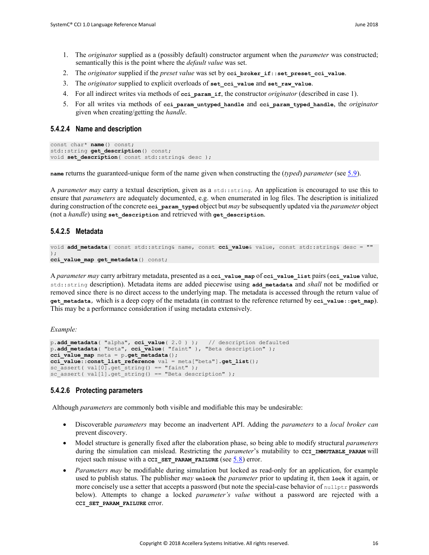- 1. The *originator* supplied as a (possibly default) constructor argument when the *parameter* was constructed; semantically this is the point where the *default value* was set.
- 2. The *originator* supplied if the *preset value* was set by **cci\_broker\_if**::**set\_preset\_cci\_value**.
- 3. The *originator* supplied to explicit overloads of **set\_cci\_value** and **set\_raw\_value**.
- 4. For all indirect writes via methods of **cci\_param\_if**, the constructor *originator* (described in case 1).
- 5. For all writes via methods of **cci\_param\_untyped\_handle** and **cci\_param\_typed\_handle**, the *originator* given when creating/getting the *handle*.

#### **5.4.2.4 Name and description**

```
const char* name() const;
std::string get_description() const;
void set_description( const std::string& desc );
```
**name** returns the guaranteed-unique form of the name given when constructing the (*typed*) *parameter* (see [5.9\)](#page-56-0).

A *parameter may* carry a textual description, given as a std::string. An application is encouraged to use this to ensure that *parameters* are adequately documented, e.g. when enumerated in log files. The description is initialized during construction of the concrete **cci\_param\_typed** object but *may* be subsequently updated via the *parameter* object (not a *handle*) using **set\_description** and retrieved with **get\_description**.

#### **5.4.2.5 Metadata**

```
void add_metadata( const std::string& name, const cci_value& value, const std::string& desc = ""
);
cci_value_map get_metadata() const;
```
A *parameter may* carry arbitrary metadata, presented as a **cci\_value\_map** of **cci\_value\_list** pairs (**cci\_value** value, std::string description). Metadata items are added piecewise using **add\_metadata** and *shall* not be modified or removed since there is no direct access to the underlying map. The metadata is accessed through the return value of **get\_metadata**, which is a deep copy of the metadata (in contrast to the reference returned by **cci\_value**::**get\_map**). This may be a performance consideration if using metadata extensively.

*Example:*

```
p.add_metadata( "alpha", cci_value( 2.0 ) ); // description defaulted
p.add_metadata( "beta", cci_value( "faint" ), "Beta description" );
cci_value_map meta = p.get_metadata();
cci_value::const_list_reference val = meta["beta"].get_list();
sc assert( val[0].get string() == "faint" );
sc_assert( val[1].get\_string() == "Beta description" );
```
## <span id="page-21-0"></span>**5.4.2.6 Protecting parameters**

Although *parameters* are commonly both visible and modifiable this may be undesirable:

- Discoverable *parameters* may become an inadvertent API. Adding the *parameters* to a *local broker can* prevent discovery.
- Model structure is generally fixed after the elaboration phase, so being able to modify structural *parameters* during the simulation can mislead. Restricting the *parameter*'s mutability to **CCI\_IMMUTABLE\_PARAM** will reject such misuse with a **CCI\_SET\_PARAM\_FAILURE** (see [5.8\)](#page-55-0) error.
- *Parameters may* be modifiable during simulation but locked as read-only for an application, for example used to publish status. The publisher *may* **unlock** the *parameter* prior to updating it, then **lock** it again, or more concisely use a setter that accepts a password (but note the special-case behavior of nullptr passwords below). Attempts to change a locked *parameter's value* without a password are rejected with a **CCI\_SET\_PARAM\_FAILURE** error.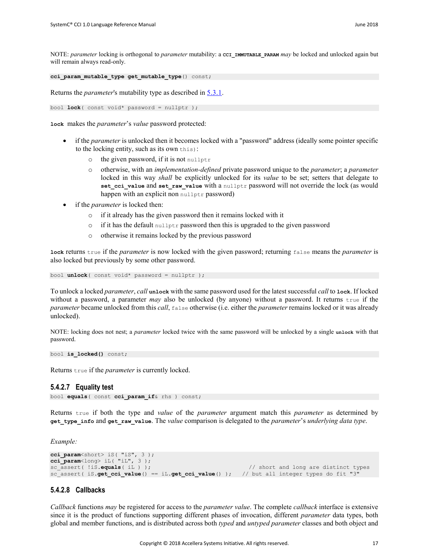NOTE: *parameter* locking is orthogonal to *parameter* mutability: a **CCI\_IMMUTABLE\_PARAM** *may* be locked and unlocked again but will remain always read-only.

**cci\_param\_mutable\_type get\_mutable\_type**() const;

Returns the *parameter*'s mutability type as described in [5.3.1.](#page-15-4)

bool **lock**( const void\* password = nullptr );

**lock** makes the *parameter*'s *value* password protected:

- if the *parameter* is unlocked then it becomes locked with a "password" address (ideally some pointer specific to the locking entity, such as its own this):
	- $\circ$  the given password, if it is not nullptr
	- o otherwise, with an *implementation-defined* private password unique to the *parameter*; a *parameter* locked in this way *shall* be explicitly unlocked for its *value* to be set; setters that delegate to **set\_cci\_value** and **set\_raw\_value** with a nullptr password will not override the lock (as would happen with an explicit non nullptr password)
- if the *parameter* is locked then:
	- o if it already has the given password then it remains locked with it
	- $\circ$  if it has the default nullptr password then this is upgraded to the given password
	- o otherwise it remains locked by the previous password

**lock** returns true if the *parameter* is now locked with the given password; returning false means the *parameter* is also locked but previously by some other password.

bool **unlock**( const void\* password = nullptr );

To unlock a locked *parameter*, *call* **unlock** with the same password used for the latest successful *call* to **lock**. If locked without a password, a parameter *may* also be unlocked (by anyone) without a password. It returns true if the *parameter* became unlocked from this *call*, false otherwise (i.e. either the *parameter* remains locked or it was already unlocked).

NOTE: locking does not nest; a *parameter* locked twice with the same password will be unlocked by a single **unlock** with that password.

bool **is\_locked()** const;

Returns true if the *parameter* is currently locked.

#### **5.4.2.7 Equality test**

bool **equals**( const **cci\_param\_if**& rhs ) const;

Returns true if both the type and *value* of the *parameter* argument match this *parameter* as determined by **get\_type\_info** and **get\_raw\_value**. The *value* comparison is delegated to the *parameter*'s *underlying data type*.

*Example:*

```
cci param<short> iS( "iS", 3 );
cci_param<long> iL( "iL", 3 );<br>sc assert( !iS.equals( iL ) );
                                                                     // short and long are distinct types
sc_assert( iS.get_cci_value() == iL.get_cci_value() ); // but all integer types do fit "3"
```
#### <span id="page-22-0"></span>**5.4.2.8 Callbacks**

*Callback* functions *may* be registered for access to the *parameter value*. The complete *callback* interface is extensive since it is the product of functions supporting different phases of invocation, different *parameter* data types, both global and member functions, and is distributed across both *typed* and *untyped parameter* classes and both object and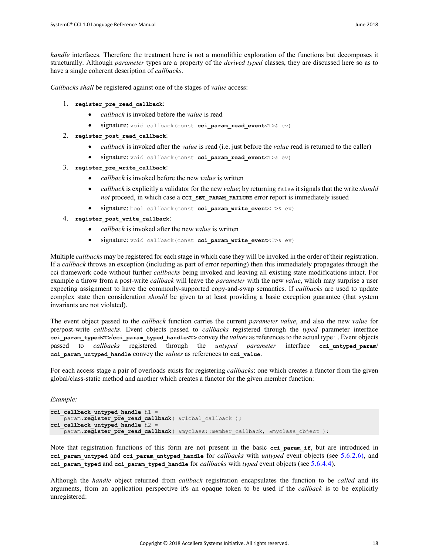*handle* interfaces. Therefore the treatment here is not a monolithic exploration of the functions but decomposes it structurally. Although *parameter* types are a property of the *derived typed* classes, they are discussed here so as to have a single coherent description of *callbacks*.

*Callbacks shall* be registered against one of the stages of *value* access:

- 1. **register\_pre\_read\_callback**:
	- *callback* is invoked before the *value* is read
	- signature: void callback(const **cci\_param\_read\_event**<T>& ev)
- 2. **register\_post\_read\_callback**:
	- *callback* is invoked after the *value* is read (i.e. just before the *value* read is returned to the caller)
	- signature: void callback(const **cci\_param\_read\_event**<T>& ev)

#### 3. **register\_pre\_write\_callback**:

- *callback* is invoked before the new *value* is written
- *callback* is explicitly a validator for the new *value*; by returning false it signals that the write *should not* proceed, in which case a **CCI\_SET\_PARAM\_FAILURE** error report is immediately issued
- signature: bool callback(const **cci\_param\_write\_event**<T>& ev)
- 4. **register\_post\_write\_callback**:
	- *callback* is invoked after the new *value* is written
	- signature: void callback(const **cci\_param\_write\_event**<T>& ev)

Multiple *callbacks* may be registered for each stage in which case they will be invoked in the order of their registration. If a *callback* throws an exception (including as part of error reporting) then this immediately propagates through the cci framework code without further *callbacks* being invoked and leaving all existing state modifications intact. For example a throw from a post-write *callback* will leave the *parameter* with the new *value*, which may surprise a user expecting assignment to have the commonly-supported copy-and-swap semantics. If *callbacks* are used to update complex state then consideration *should* be given to at least providing a basic exception guarantee (that system invariants are not violated).

The event object passed to the *callback* function carries the current *parameter value*, and also the new *value* for pre/post-write *callbacks*. Event objects passed to *callbacks* registered through the *typed* parameter interface **cci\_param\_typed<T>**/**cci\_param\_typed\_handle<T>** convey the *values* as references to the actual type T. Event objects passed to *callbacks* registered through the *untyped parameter* interface cci untyped param/ **cci\_param\_untyped\_handle** convey the *values* as references to **cci\_value**.

For each access stage a pair of overloads exists for registering *callbacks*: one which creates a functor from the given global/class-static method and another which creates a functor for the given member function:

#### *Example:*

```
cci_callback_untyped_handle h1 = 
     param.register_pre_read_callback( &global_callback );
cci_callback_untyped_handle h2 = 
   -<br>param.register_pre_read_callback( &myclass::member_callback, &myclass_object );
```
Note that registration functions of this form are not present in the basic **cci\_param\_if**, but are introduced in **cci\_param\_untyped** and **cci\_param\_untyped\_handle** for *callbacks* with *untyped* event objects (see [5.6.2.6\)](#page-46-1), and **cci\_param\_typed** and **cci\_param\_typed\_handle** for *callbacks* with *typed* event objects (see [5.6.4.4\)](#page-50-0).

Although the *handle* object returned from *callback* registration encapsulates the function to be *called* and its arguments, from an application perspective it's an opaque token to be used if the *callback* is to be explicitly unregistered: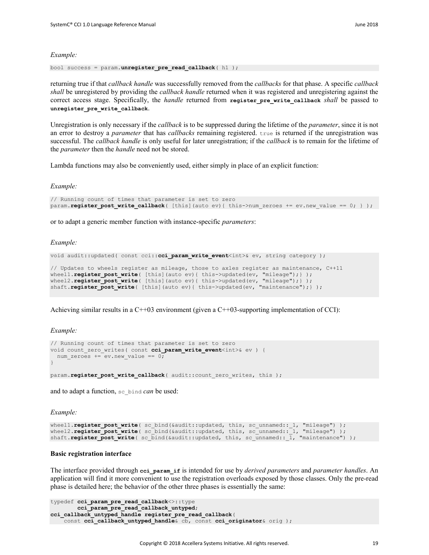#### *Example:*

bool success = param.**unregister\_pre\_read\_callback**( h1 );

returning true if that *callback handle* was successfully removed from the *callbacks* for that phase. A specific *callback shall* be unregistered by providing the *callback handle* returned when it was registered and unregistering against the correct access stage. Specifically, the *handle* returned from **register\_pre\_write\_callback** *shall* be passed to **unregister\_pre\_write\_callback**.

Unregistration is only necessary if the *callback* is to be suppressed during the lifetime of the *parameter*, since it is not an error to destroy a *parameter* that has *callbacks* remaining registered. true is returned if the unregistration was successful. The *callback handle* is only useful for later unregistration; if the *callback* is to remain for the lifetime of the *parameter* then the *handle* need not be stored.

Lambda functions may also be conveniently used, either simply in place of an explicit function:

#### *Example:*

```
// Running count of times that parameter is set to zero
param.register_post_write_callback( [this](auto ev){ this->num_zeroes += ev.new_value == 0; } );
```
or to adapt a generic member function with instance-specific *parameters*:

#### *Example:*

```
void audit::updated( const cci:: cci param write event<int>& ev, string category );
```
// Updates to wheels register as mileage, those to axles register as maintenance, C++11 wheel1.**register\_post\_write**( [this](auto ev){ this->updated(ev, "mileage");} ); wheel2.register\_post\_write( [this](auto ev){ this->updated(ev, "mileage"); } ); shaft.register\_post\_write( [this](auto ev){ this->updated(ev, "maintenance");} );

Achieving similar results in a  $C+03$  environment (given a  $C+03$ -supporting implementation of CCI):

*Example:*

```
// Running count of times that parameter is set to zero
void count zero writes( const cci param write event<int>& ev ) {
 num zeroes += ev.new value == 0;}
param.register post write callback( audit::count zero writes, this );
```
and to adapt a function, sc\_bind *can* be used:

*Example:*

```
wheel1.register post write( sc bind(&audit::updated, this, sc unnamed:: 1, "mileage") );
wheel2.register_post_write( sc_bind(&audit::updated, this, sc_unnamed::_1, "mileage") );
shaft.register post write ( sc bind (&audit::updated, this, sc unnamed:: 1, "maintenance") );
```
#### **Basic registration interface**

The interface provided through **cci\_param\_if** is intended for use by *derived parameters* and *parameter handles*. An application will find it more convenient to use the registration overloads exposed by those classes. Only the pre-read phase is detailed here; the behavior of the other three phases is essentially the same:

```
typedef cci_param_pre_read_callback<>::type
         cci_param_pre_read_callback_untyped; 
cci_callback_untyped_handle register_pre_read_callback( 
    const cci_callback_untyped_handle& cb, const cci_originator& orig );
```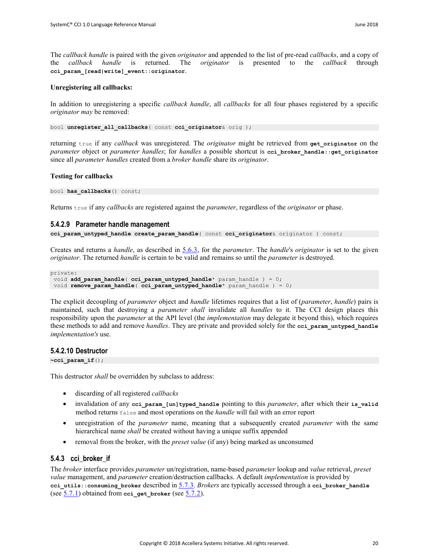The *callback handle* is paired with the given *originator* and appended to the list of pre-read *callbacks*, and a copy of the *callback handle* is returned. The *originator* is presented to the *callback* through **cci\_param\_[read|write]\_event::originator**.

#### **Unregistering all callbacks:**

In addition to unregistering a specific *callback handle*, all *callbacks* for all four phases registered by a specific *originator may* be removed:

bool **unregister\_all\_callbacks**( const **cci\_originator**& orig );

returning true if any *callback* was unregistered. The *originator* might be retrieved from **get\_originator** on the *parameter* object or *parameter handles*; for *handles* a possible shortcut is **cci\_broker\_handle**::**get\_originator** since all *parameter handles* created from a *broker handle* share its *originator*.

#### **Testing for callbacks**

```
bool has_callbacks() const;
```
Returns true if any *callbacks* are registered against the *parameter*, regardless of the *originator* or phase.

#### **5.4.2.9 Parameter handle management**

```
cci_param_untyped_handle create_param_handle( const cci_originator& originator ) const;
```
Creates and returns a *handle*, as described in [5.6.3,](#page-46-0) for the *parameter*. The *handle*'s *originator* is set to the given *originator*. The returned *handle* is certain to be valid and remains so until the *parameter* is destroyed.

```
private:
void add param handle ( cci param untyped handle* param handle ) = 0;
void remove_param_handle( cci_param_untyped_handle* param_handle ) = 0;
```
The explicit decoupling of *parameter* object and *handle* lifetimes requires that a list of (*parameter*, *handle*) pairs is maintained, such that destroying a *parameter shall* invalidate all *handles* to it. The CCI design places this responsibility upon the *parameter* at the API level (the *implementation* may delegate it beyond this), which requires these methods to add and remove *handles*. They are private and provided solely for the cci param untyped handle *implementation's* use.

#### <span id="page-25-1"></span>**5.4.2.10 Destructor**

```
~cci_param_if();
```
This destructor *shall* be overridden by subclass to address:

- discarding of all registered *callbacks*
- invalidation of any cci param [un]typed handle pointing to this *parameter*, after which their is valid method returns false and most operations on the *handle* will fail with an error report
- unregistration of the *parameter* name, meaning that a subsequently created *parameter* with the same hierarchical name *shall* be created without having a unique suffix appended
- removal from the broker, with the *preset value* (if any) being marked as unconsumed

#### <span id="page-25-0"></span>**5.4.3 cci\_broker\_if**

The *broker* interface provides *parameter* un/registration, name-based *parameter* lookup and *value* retrieval, *preset value* management, and *parameter* creation/destruction callbacks. A default *implementation* is provided by **cci\_utils::consuming\_broker** described in [5.7.3.](#page-54-1) *Brokers* are typically accessed through a **cci\_broker\_handle** (see  $\frac{5.7.1}{2}$ ) obtained from cci get broker (see  $\frac{5.7.2}{2}$ ).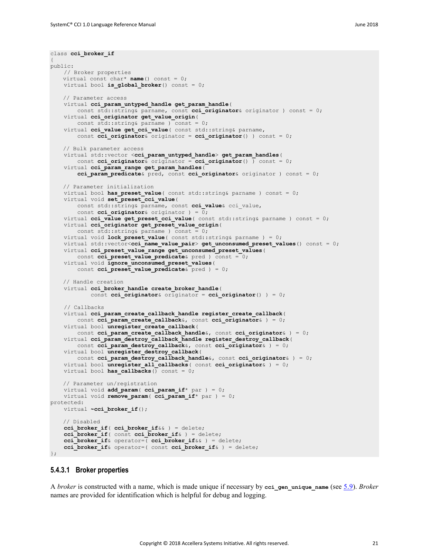class **cci\_broker\_if**

{

```
public:
    // Broker properties
   virtual const char* name() const = 0;virtual bool is global broker() const = 0;
   // Parameter access
    virtual cci_param_untyped_handle get_param_handle(
         const std::string& parname, const cci_originator& originator ) const = 0;
     virtual cci_originator get_value_origin(
         const std::string& parname ) const = 0;
    virtual cci value get cci value ( const std::string& parname,
         const cci_originator& originator = cci_originator() ) const = 0;
   // Bulk parameter access
     virtual std::vector <cci_param_untyped_handle> get_param_handles(
       const cci originator& originator = cci originator() ) const = 0;
    virtual cci_param_range get_param_handles(
         cci_param_predicate& pred, const cci_originator& originator ) const = 0;
   // Parameter initialization
    virtual bool has_preset_value( const std::string& parname ) const = 0;
    virtual void set_preset_cci_value(
         const std::string& parname, const cci_value& cci_value,
         const cci_originator& originator ) = 0;
    virtual cci value get preset cci value ( const std::string& parname ) const = 0;
     virtual cci_originator get_preset_value_origin(
        const std::string& parname ) const = 0;
    virtual void lock_preset_value( const std::string& parname ) = 0;
    virtual std::vector<cci name value pair> get unconsumed preset values() const = 0;
     virtual cci_preset_value_range get_unconsumed_preset_values(
        const cci_preset_value_predicate& pred ) const = 0;
     virtual void ignore_unconsumed_preset_values(
         const cci_preset_value_predicate& pred ) = 0;
    // Handle creation
     virtual cci_broker_handle create_broker_handle(
             const cci_originator& originator = cci_originator() ) = 0;
     // Callbacks
     virtual cci_param_create_callback_handle register_create_callback(
        const cci param create callback&, const cci originator& ) = 0;
    virtual bool unregister_create_callback(
        const cci_param_create_callback_handle&, const cci_originator& ) = 0;
     virtual cci_param_destroy_callback_handle register_destroy_callback(
        const cci_param_destroy_callback&, const cci_originator& ) = 0;
     virtual bool unregister_destroy_callback(
         const cci_param_destroy_callback_handle&, const cci_originator& ) = 0;
     virtual bool unregister_all_callbacks( const cci_originator& ) = 0;
   virtual bool has callbacks() const = 0;
   // Parameter un/registration
    virtual void add_param( cci_param_if* par ) = 0;
   virtual void remove param ( cci param if* par ) = 0;
protected:
    virtual ~cci_broker_if();
   // Disabled
     cci_broker_if( cci_broker_if&& ) = delete;
     cci_broker_if( const cci_broker_if& ) = delete;
    cci_broker_if& operator=( cci_broker_if&& ) = delete;
     cci_broker_if& operator=( const cci_broker_if& ) = delete;
};
```
#### **5.4.3.1 Broker properties**

A *broker* is constructed with a name, which is made unique if necessary by **cci\_gen\_unique\_name** (see [5.9\)](#page-56-0). *Broker* names are provided for identification which is helpful for debug and logging.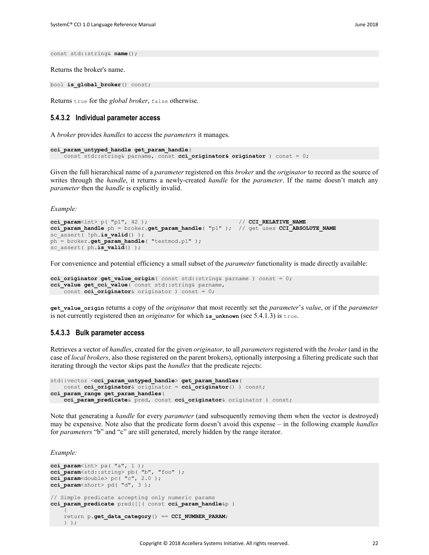const std::string& **name**();

Returns the broker's name.

bool **is\_global\_broker**() const;

Returns true for the *global broker*, false otherwise.

#### **5.4.3.2 Individual parameter access**

A *broker* provides *handles* to access the *parameters* it manages.

```
cci_param_untyped_handle get_param_handle(
    const std::string& parname, const cci_originator& originator ) const = 0;
```
Given the full hierarchical name of a *parameter* registered on this *broker* and the *originator* to record as the source of writes through the *handle*, it returns a newly-created *handle* for the *parameter*. If the name doesn't match any *parameter* then the *handle* is explicitly invalid.

*Example:*

```
cci param<int> p( "p1", 42 ); \frac{1}{2} // CCI_RELATIVE_NAME
cci param handle ph = broker.get param handle( "p1" ); // get uses CCI ABSOLUTE NAME
sc assert( !ph.is valid() );
ph = broker.get_param_handle( "testmod.p1" );
sc assert( ph.is valid() );
```
For convenience and potential efficiency a small subset of the *parameter* functionality is made directly available:

```
cci originator get value origin ( const std::string& parname ) const = 0;
cci_value get_cci_value( const std::string& parname,
    const cci_originator& originator ) const = 0;
```
**get\_value\_origin** returns a copy of the *originator* that most recently set the *parameter*'s *value*, or if the *parameter* is not currently registered then an *originator* for which **is unknown** (see [5.4.1.3\)](#page-17-0) is true.

#### **5.4.3.3 Bulk parameter access**

Retrieves a vector of *handles*, created for the given *originator*, to all *parameters* registered with the *broker* (and in the case of *local brokers*, also those registered on the parent brokers), optionally interposing a filtering predicate such that iterating through the vector skips past the *handles* that the predicate rejects:

```
std::vector <cci_param_untyped_handle> get_param_handles(
    const cci_originator& originator = cci_originator() ) const;
cci_param_range get_param_handles(
   cci param predicate& pred, const cci originator& originator ) const;
```
Note that generating a *handle* for every *parameter* (and subsequently removing them when the vector is destroyed) may be expensive. Note also that the predicate form doesn't avoid this expense – in the following example *handles* for *parameters* "b" and "c" are still generated, merely hidden by the range iterator.

*Example:*

```
cci_param<int> pa( "a", 1 );
cci_param<std::string> pb( "b", "foo" );
cci_param<double> pc( "c", 2.0 );
cci_param<short> pd( "d", 3 );
// Simple predicate accepting only numeric params
cci_param_predicate pred([]( const cci_param_handle&p )
\left\{ \begin{array}{c} \end{array} \right. return p.get_data_category() == CCI_NUMBER_PARAM;
     } );
```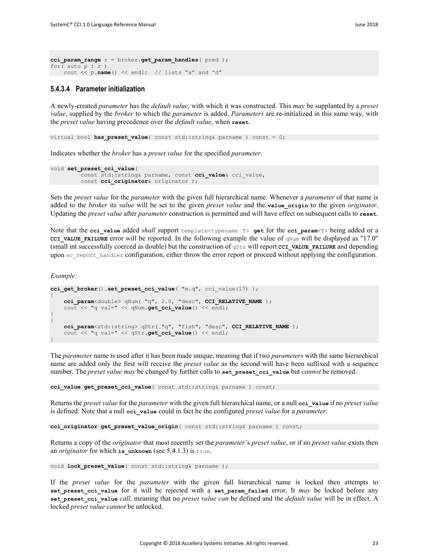```
cci_param_range r = broker.get_param_handles( pred );
for( auto p : r )
   cout << p.name() << endl; // lists "a" and "d"
```
#### <span id="page-28-0"></span>**5.4.3.4 Parameter initialization**

A newly-created *parameter* has the *default value*, with which it was constructed. This *may* be supplanted by a *preset value*, supplied by the *broker* to which the *parameter* is added. *Parameters* are re-initialized in this same way, with the *preset value* having precedence over the *default value*, when **reset**.

virtual bool **has preset value** ( const std::string& parname ) const = 0;

Indicates whether the *broker* has a *preset value* for the specified *parameter*.

```
void set_preset_cci_value(
          const std::string& parname, const cci_value& cci_value,
         const cci originator& originator );
```
Sets the *preset value* for the *parameter* with the given full hierarchical name. Whenever a *parameter* of that name is added to the *broker* its *value* will be set to the given *preset value* and the **value\_origin** to the given *originator*. Updating the *preset value* after *parameter* construction is permitted and will have effect on subsequent calls to **reset**.

Note that the **cci\_value** added *shall* support template<typename T> **get** for the **cci\_param**<T> being added or a **CCI** VALUE FAILURE error will be reported. In the following example the value of  $q$ Num will be displayed as "17.0" (small int successfully coerced as double) but the construction of qStr will report **CCI\_VALUE\_FAILURE** and depending upon sc\_report\_handler configuration, either throw the error report or proceed without applying the configuration.

*Example:*

```
cci_get_broker().set_preset_cci_value( "m.q", cci_value(17) );
{
     cci_param<double> qNum( "q", 2.0, "desc", CCI_RELATIVE_NAME );
    cout << "q val=" << qNum.get_cci_value() << endl;
}
{
     cci_param<std::string> qStr( "q", "fish", "desc", CCI_RELATIVE_NAME );
     cout << "q val=" << qStr.get_cci_value() << endl;
}
```
The *parameter* name is used after it has been made unique, meaning that if two *parameters* with the same hierarchical name are added only the first will receive the *preset value* as the second will have been suffixed with a sequence number. The *preset value may* be changed by further calls to **set\_preset\_cci\_value** but *cannot* be removed.

**cci\_value get\_preset\_cci\_value**( const std::string& parname ) const;

Returns the *preset value* for the *parameter* with the given full hierarchical name, or a null **cci\_value** if no *preset value* is defined. Note that a null **cci\_value** could in fact be the configured *preset value* for a *parameter*.

**cci\_originator get\_preset\_value\_origin**( const std::string& parname ) const;

Returns a copy of the *originator* that most recently set the *parameter*'s *preset value*, or if no *preset value* exists then an *originator* for which **is\_unknown** (see [5.4.1.3\)](#page-17-0) is true.

```
void lock preset value ( const std::string& parname );
```
If the *preset value* for the *parameter* with the given full hierarchical name is locked then attempts to **set preset cci value** for it will be rejected with a set param failed error. It *may* be locked before any **set preset cci value** *call*, meaning that no *preset value can* be defined and the *default value* will be in effect. A locked *preset value cannot* be unlocked.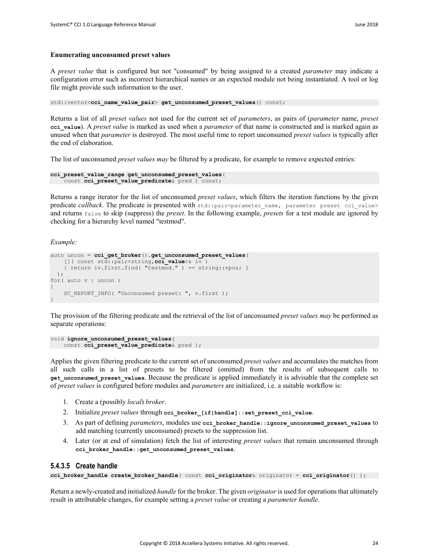#### **Enumerating unconsumed preset values**

A *preset value* that is configured but not "consumed" by being assigned to a created *parameter* may indicate a configuration error such as incorrect hierarchical names or an expected module not being instantiated. A tool or log file might provide such information to the user.

std::vector<**cci\_name\_value\_pair**> **get\_unconsumed\_preset\_values**() const;

Returns a list of all *preset values* not used for the current set of *parameters*, as pairs of (*parameter* name, *preset* **cci\_value**). A *preset value* is marked as used when a *parameter* of that name is constructed and is marked again as unused when that *parameter* is destroyed. The most useful time to report unconsumed *preset values* is typically after the end of elaboration.

The list of unconsumed *preset values may* be filtered by a predicate, for example to remove expected entries:

```
cci_preset_value_range get_unconsumed_preset_values(
    const cci_preset_value_predicate& pred ) const;
```
Returns a range iterator for the list of unconsumed *preset values*, which filters the iteration functions by the given predicate *callback*. The predicate is presented with std::pair<parameter name, parameter preset cci value> and returns false to skip (suppress) the *preset*. In the following example, *presets* for a test module are ignored by checking for a hierarchy level named "testmod".

*Example:*

```
auto uncon = cci get broker().get unconsumed preset values (
     []( const std::pair<string,cci_value>& iv )
     { return iv.first.find( "testmod." ) == string::npos; } 
  );
for( auto v : uncon )
{
    SC_REPORT_INFO( "Unconsumed preset: ", v.first );
}
```
The provision of the filtering predicate and the retrieval of the list of unconsumed *preset values may* be performed as separate operations:

```
void ignore_unconsumed_preset_values(
   const cci preset value predicate& pred );
```
Applies the given filtering predicate to the current set of unconsumed *preset values* and accumulates the matches from all such calls in a list of presets to be filtered (omitted) from the results of subsequent calls to **get\_unconsumed\_preset\_values**. Because the predicate is applied immediately it is advisable that the complete set of *preset values* is configured before modules and *parameters* are initialized, i.e. a suitable workflow is:

- 1. Create a (possibly *local*) *broker*.
- 2. Initialize *preset values* through **cci\_broker\_[if|handle]::set\_preset\_cci\_value**.
- 3. As part of defining *parameters*, modules use **cci\_broker\_handle**::**ignore\_unconsumed\_preset\_values** to add matching (currently unconsumed) presets to the suppression list.
- 4. Later (or at end of simulation) fetch the list of interesting *preset values* that remain unconsumed through **cci\_broker\_handle**::**get\_unconsumed\_preset\_values**.

#### **5.4.3.5 Create handle**

**cci\_broker\_handle create\_broker\_handle**( const **cci\_originator**& originator = **cci\_originator**() );

Return a newly-created and initialized *handle* for the broker. The given *originator*is used for operations that ultimately result in attributable changes, for example setting a *preset value* or creating a *parameter handle*.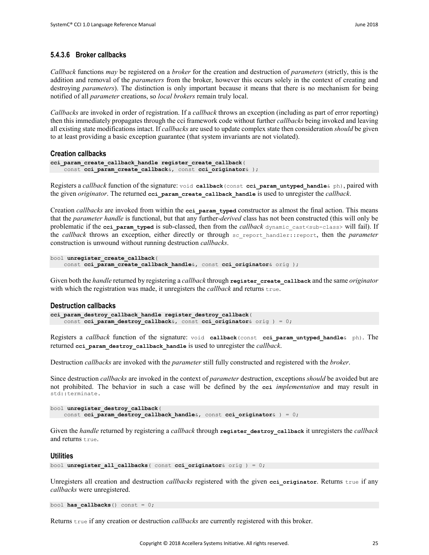#### <span id="page-30-0"></span>**5.4.3.6 Broker callbacks**

*Callback* functions *may* be registered on a *broker* for the creation and destruction of *parameters* (strictly, this is the addition and removal of the *parameters* from the broker, however this occurs solely in the context of creating and destroying *parameters*). The distinction is only important because it means that there is no mechanism for being notified of all *parameter* creations, so *local brokers* remain truly local.

*Callbacks* are invoked in order of registration. If a *callback* throws an exception (including as part of error reporting) then this immediately propagates through the cci framework code without further *callbacks* being invoked and leaving all existing state modifications intact. If *callbacks* are used to update complex state then consideration *should* be given to at least providing a basic exception guarantee (that system invariants are not violated).

#### **Creation callbacks**

```
cci_param_create_callback_handle register_create_callback(
    const cci_param_create_callback&, const cci_originator& );
```
Registers a *callback* function of the signature: void **callback**(const **cci\_param\_untyped\_handle**& ph), paired with the given *originator*. The returned **cci\_param\_create\_callback\_handle** is used to unregister the *callback*.

Creation *callbacks* are invoked from within the **cci\_param\_typed** constructor as almost the final action. This means that the *parameter handle* is functional, but that any further-*derived* class has not been constructed (this will only be problematic if the **cci\_param\_typed** is sub-classed, then from the *callback* dynamic\_cast<sub-class> will fail). If the *callback* throws an exception, either directly or through sc\_report\_handler::report, then the *parameter* construction is unwound without running destruction *callbacks*.

```
bool unregister_create_callback(
    const cci_param_create_callback_handle&, const cci_originator& orig );
```
Given both the *handle* returned by registering a *callback* through **register\_create\_callback** and the same *originator* with which the registration was made, it unregisters the *callback* and returns true.

#### **Destruction callbacks**

```
cci_param_destroy_callback_handle register_destroy_callback(
     const cci_param_destroy_callback&, const cci_originator& orig ) = 0;
```
Registers a *callback* function of the signature: void **callback**(const **cci\_param\_untyped\_handle**& ph). The returned **cci\_param\_destroy\_callback\_handle** is used to unregister the *callback*.

Destruction *callbacks* are invoked with the *parameter* still fully constructed and registered with the *broker*.

Since destruction *callbacks* are invoked in the context of *parameter* destruction, exceptions *should* be avoided but are not prohibited. The behavior in such a case will be defined by the **cci** *implementation* and may result in std::terminate.

```
bool unregister_destroy_callback(
   const cci param destroy callback handle&, const cci originator& ) = 0;
```
Given the *handle* returned by registering a *callback* through **register\_destroy\_callback** it unregisters the *callback* and returns true.

#### **Utilities**

bool **unregister\_all\_callbacks**( const **cci\_originator**& orig ) = 0;

Unregisters all creation and destruction *callbacks* registered with the given **cci\_originator**. Returns true if any *callbacks* were unregistered.

bool **has\_callbacks**() const = 0;

Returns true if any creation or destruction *callbacks* are currently registered with this broker.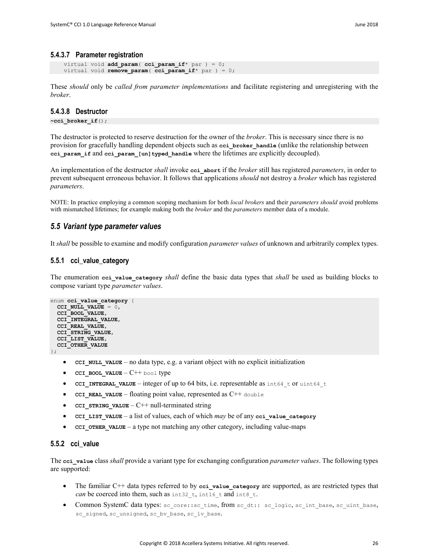#### **5.4.3.7 Parameter registration**

```
 virtual void add_param( cci_param_if* par ) = 0;
 virtual void remove_param( cci_param_if* par ) = 0;
```
These *should* only be *called from parameter implementations* and facilitate registering and unregistering with the *broker*.

#### **5.4.3.8 Destructor**

**~cci\_broker\_if**();

The destructor is protected to reserve destruction for the owner of the *broker*. This is necessary since there is no provision for gracefully handling dependent objects such as **cci\_broker\_handle** (unlike the relationship between **cci\_param\_if** and **cci\_param\_[un]typed\_handle** where the lifetimes are explicitly decoupled).

An implementation of the destructor *shall* invoke **cci\_abort** if the *broker* still has registered *parameters*, in order to prevent subsequent erroneous behavior. It follows that applications *should* not destroy a *broker* which has registered *parameters*.

NOTE: In practice employing a common scoping mechanism for both *local brokers* and their *parameters should* avoid problems with mismatched lifetimes; for example making both the *broker* and the *parameters* member data of a module.

### <span id="page-31-0"></span>*5.5 Variant type parameter values*

It *shall* be possible to examine and modify configuration *parameter values* of unknown and arbitrarily complex types.

#### <span id="page-31-1"></span>**5.5.1 cci\_value\_category**

The enumeration **cci\_value\_category** *shall* define the basic data types that *shall* be used as building blocks to compose variant type *parameter values*.

```
enum cci_value_category {
  CCI NULL VALUE = 0,
 CCI_BOOL_VALUE,
 CCI_INTEGRAL_VALUE,
 CCI_REAL_VALUE,
 CCI_STRING_VALUE,
 CCI_LIST_VALUE,
 CCI_OTHER_VALUE
};
```
- **CCI** NULL VALUE no data type, e.g. a variant object with no explicit initialization
- **CCI\_BOOL\_VALUE**  $C++$  bool type
- **CCI INTEGRAL VALUE** integer of up to 64 bits, i.e. representable as  $int64 \text{ t}$  or  $uint64 \text{ t}$
- **CCI\_REAL\_VALUE** floating point value, represented as C++ double
- **CCI** STRING VALUE  $C++$  null-terminated string
- **CCI\_LIST\_VALUE** a list of values, each of which *may* be of any **cci\_value\_category**
- **CCI** OTHER VALUE a type not matching any other category, including value-maps

#### <span id="page-31-2"></span>**5.5.2 cci\_value**

The **cci\_value** class *shall* provide a variant type for exchanging configuration *parameter values*. The following types are supported:

- The familiar C<sup>++</sup> data types referred to by **cci** value category are supported, as are restricted types that *can* be coerced into them, such as int32 t, int16 t and int8 t.
- Common SystemC data types: sc\_core::sc\_time, from sc\_dt:: sc\_logic, sc\_int\_base, sc\_uint\_base, sc\_signed, sc\_unsigned, sc\_bv\_base, sc\_lv\_base.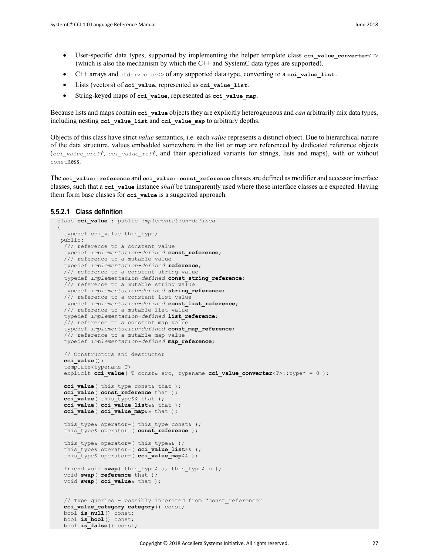- User-specific data types, supported by implementing the helper template class coi value converter  $\leq$ (which is also the mechanism by which the C++ and SystemC data types are supported).
- $C++$  arrays and std::vector<> of any supported data type, converting to a cci value list.
- Lists (vectors) of **cci\_value**, represented as **cci\_value\_list**.
- String-keyed maps of **cci\_value**, represented as **cci\_value\_map**.

Because lists and maps contain **cci\_value** objects they are explicitly heterogeneous and *can* arbitrarily mix data types, including nesting **cci\_value\_list** and **cci\_value\_map** to arbitrary depths.

Objects of this class have strict *value* semantics, i.e. each *value* represents a distinct object. Due to hierarchical nature of the data structure, values embedded somewhere in the list or map are referenced by dedicated reference objects (*cci\_value\_cref†*, *cci\_value\_ref†*, and their specialized variants for strings, lists and maps), with or without constness.

The **cci\_value**::**reference** and **cci\_value**::**const\_reference** classes are defined as modifier and accessor interface classes, such that a **cci\_value** instance *shall* be transparently used where those interface classes are expected. Having them form base classes for **cci\_value** is a suggested approach.

# **5.5.2.1 Class definition**

```
 class cci_value : public implementation-defined
\left\{ \begin{array}{c} \end{array} \right\}typedef cci value this type;
   public:
    /// reference to a constant value
    typedef implementation-defined const_reference;
    /// reference to a mutable value
    typedef implementation-defined reference;
    /// reference to a constant string value
    typedef implementation-defined const_string_reference;
    /// reference to a mutable string value
    typedef implementation-defined string_reference;
    /// reference to a constant list value
    typedef implementation-defined const_list_reference;
    /// reference to a mutable list value
    typedef implementation-defined list_reference;
    /// reference to a constant map value
    typedef implementation-defined const_map_reference;
   /// reference to a mutable map value
    typedef implementation-defined map_reference;
    // Constructors and destructor
    cci_value();
    template<typename T>
    explicit cci_value( T const& src, typename cci_value_converter<T>::type* = 0 );
   cci value ( this type const& that );
    cci_value( const_reference that );
   cci value ( this type&& that );
    cci_value( cci_value_list&& that );
    cci_value( cci_value_map&& that );
   this type& operator=( this type const& );
   this type& operator=( const reference );
   this type& operator=( this type&& );
   this type& operator=( cci value list&& );
   this type& operator=( cci_value_map&& );
   friend void swap( this type& a, this type& b );
    void swap( reference that );
    void swap( cci_value& that );
    // Type queries – possibly inherited from "const_reference"
    cci_value_category category() const;
    bool is_null() const;
    bool is_bool() const;
    bool is_false() const;
```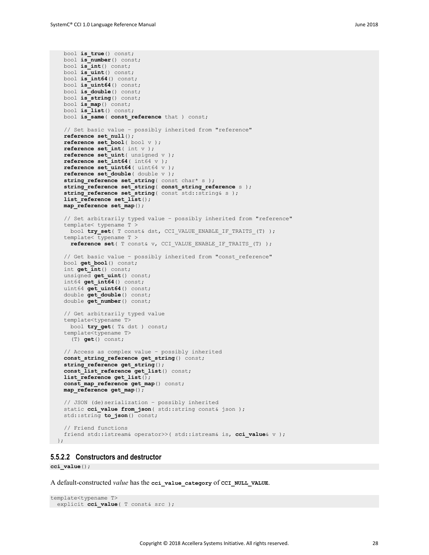bool **is\_true**() const;

```
 bool is_number() const;
    bool is_int() const;
    bool is_uint() const;
    bool is_int64() const;
    bool is_uint64() const;
    bool is_double() const;
    bool is_string() const;
    bool is_map() const;
    bool is_list() const;
   bool is same( const reference that ) const;
    // Set basic value – possibly inherited from "reference"
    reference set_null();
    reference set_bool( bool v );
    reference set_int( int v );
    reference set_uint( unsigned v );
    reference set_int64( int64 v );
    reference set_uint64( uint64 v );
    reference set_double( double v );
    string_reference set_string( const char* s );
    string_reference set_string( const_string_reference s );
    string_reference set_string( const std::string& s );
    list_reference set_list();
    map_reference set_map();
    // Set arbitrarily typed value – possibly inherited from "reference"
    template< typename T >
    bool try set( T const& dst, CCI VALUE ENABLE IF TRAITS (T) );
    template< typename T >
      reference set( T const& v, CCI_VALUE_ENABLE_IF_TRAITS_(T) );
    // Get basic value – possibly inherited from "const_reference"
    bool get_bool() const;
    int get_int() const;
   unsigned get uint() const;
    int64 get_int64() const;
   uint64 get uint64() const;
    double get_double() const;
    double get_number() const;
    // Get arbitrarily typed value
    template<typename T>
     bool try_get( T& dst ) const;
    template<typename T>
      (T) get() const;
    // Access as complex value – possibly inherited
    const_string_reference get_string() const;
    string_reference get_string();
    const_list_reference get_list() const;
    list_reference get_list();
    const_map_reference get_map() const;
    map_reference get_map();
    // JSON (de)serialization – possibly inherited
   static cci_value from_json( std::string const& json );
    std::string to_json() const;
    // Friend functions
   friend std::istream& operator>>( std::istream& is, cci value& v );
 };
```
#### **5.5.2.2 Constructors and destructor**

**cci\_value**();

A default-constructed *value* has the **cci\_value\_category** of **CCI\_NULL\_VALUE**.

```
template<typename T>
 explicit cci_value( T const& src );
```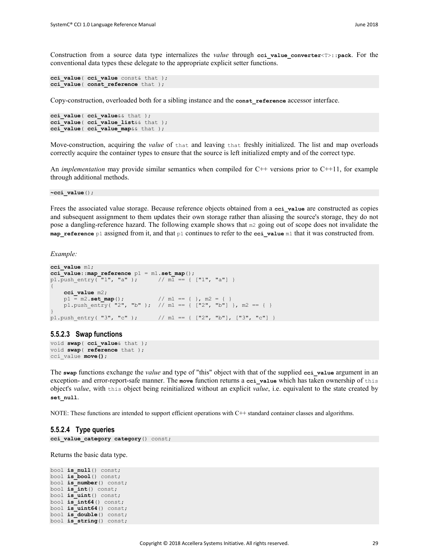```
cci_value( cci_value const& that );
cci_value( const_reference that );
```
Copy-construction, overloaded both for a sibling instance and the **const\_reference** accessor interface.

conventional data types these delegate to the appropriate explicit setter functions.

```
cci_value( cci_value&& that );
cci_value( cci_value_list&& that );
cci_value( cci_value_map&& that );
```
Move-construction, acquiring the *value* of that and leaving that freshly initialized. The list and map overloads correctly acquire the container types to ensure that the source is left initialized empty and of the correct type.

An *implementation* may provide similar semantics when compiled for C++ versions prior to C++11, for example through additional methods.

**~cci\_value**();

Frees the associated value storage. Because reference objects obtained from a cci value are constructed as copies and subsequent assignment to them updates their own storage rather than aliasing the source's storage, they do not pose a dangling-reference hazard. The following example shows that m2 going out of scope does not invalidate the **map\_reference** p1 assigned from it, and that p1 continues to refer to the **cci\_value** m1 that it was constructed from.

*Example:*

```
cci_value m1;
cci_value::map_reference p1 = m1.set_map();
p1.push entry("1", "a", \}); // m\overline{1} = { [ "1", "a"] }{
    cci_value m2;<br>p1 = m2.set_map();
                               \frac{1}{\sqrt{m1}} = {\ \ \frac{1}{\sqrt{m2}}}, m2 = {\ \ \frac{1}{\sqrt{m2}}}p1.push entry( "2", "b" ); // m1 == { ["2", "b"] }, m2 == { }
}
p1.push_entry( "3", "c" ); // m1 == { ["2", "b"], ["3", "c"] }
```
#### <span id="page-34-0"></span>**5.5.2.3 Swap functions**

```
void swap( cci_value& that );
void swap( reference that );
cci_value move();
```
The **swap** functions exchange the *value* and type of "this" object with that of the supplied **cci\_value** argument in an exception- and error-report-safe manner. The move function returns a cei value which has taken ownership of this object's *value*, with this object being reinitialized without an explicit *value*, i.e. equivalent to the state created by **set\_null**.

NOTE: These functions are intended to support efficient operations with C++ standard container classes and algorithms.

#### **5.5.2.4 Type queries**

```
cci_value_category category() const;
```
Returns the basic data type.

```
bool is null() const;
bool is_bool() const;
bool is_number() const;
bool is_int() const;
bool is_uint() const;
bool is_int64() const;
bool is_uint64() const;
bool is_double() const;
bool is_string() const;
```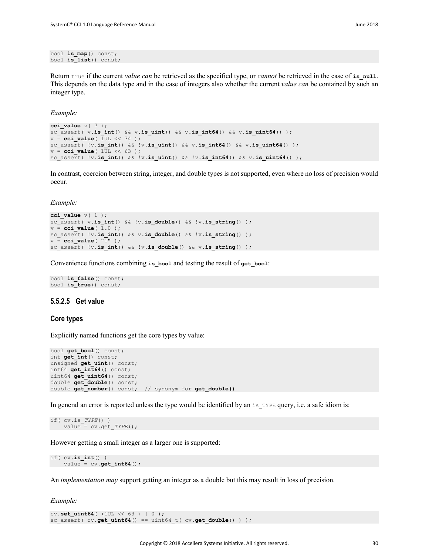bool **is\_map**() const; bool **is\_list**() const;

Return true if the current *value can* be retrieved as the specified type, or *cannot* be retrieved in the case of **is\_null**. This depends on the data type and in the case of integers also whether the current *value can* be contained by such an integer type.

#### *Example:*

```
cci_value v( 7 );
sc_assert( v.is_int() && v.is_uint() && v.is_int64() && v.is_uint64() );
v = cci value ( 1UL \ll 34 );
sc_assert( !v.is_int() && !v.is_uint() && v.is_int64() && v.is_uint64() );
v = cci_value( 1UL << 63 );
sc_assert( !v.is_int() && !v.is_uint() && !v.is_int64() && v.is_uint64() );
```
In contrast, coercion between string, integer, and double types is not supported, even where no loss of precision would occur.

*Example:*

```
cci_value v( 1 );
sc_assert( v.is_int() && !v.is_double() && !v.is_string() );
v = cci_value(\overline{1.0});
sc_assert( !v.is_int() && v.is_double() && !v.is_string() );
v = cci_value(\overline{1}");
sc_assert( !v.is_int() && !v.is_double() && v.is_string() );
```
Convenience functions combining **is\_bool** and testing the result of **get\_bool**:

```
bool is_false() const;
bool is_true() const;
```
#### **5.5.2.5 Get value**

#### **Core types**

Explicitly named functions get the core types by value:

```
bool get_bool() const;
int get_int() const;
unsigned get_uint() const;
int64 get_int64() const;
uint64 get_uint64() const;
double get double() const;
double get_number() const; // synonym for get_double()
```
In general an error is reported unless the type would be identified by an is TYPE query, i.e. a safe idiom is:

```
if( cv.is_TYPE() ) 
    value = cv.get_TYPE();
```
However getting a small integer as a larger one is supported:

```
if( cv.is_int() )
  value = cv.get int64();
```
An *implementation may* support getting an integer as a double but this may result in loss of precision.

*Example:*

```
cv.set_uint64( (1UL << 63 ) | 0 );
sc_assert( cv.get_uint64() == uint64_t( cv.get_double() ) );
```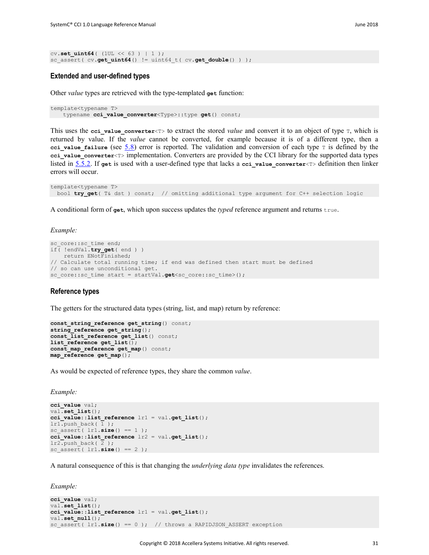```
cv.set_uint64( (1UL << 63 ) | 1 );
sc_assert( cv.get_uint64() != uint64_t( cv.get_double() ) );
```
#### **Extended and user-defined types**

Other *value* types are retrieved with the type-templated **get** function:

```
template<typename T>
    typename cci_value_converter<Type>::type get() const;
```
This uses the **cci** value converter  $\leq$  to extract the stored *value* and convert it to an object of type  $\tau$ , which is returned by value. If the *value* cannot be converted, for example because it is of a different type, then a **cci** value failure (see  $5.8$ ) error is reported. The validation and conversion of each type  $T$  is defined by the **cci\_value\_converter**<T> implementation. Converters are provided by the CCI library for the supported data types listed in [5.5.2.](#page-31-2) If **get** is used with a user-defined type that lacks a **cci\_value\_converter**<T> definition then linker errors will occur.

```
template<typename T>
 bool try_get( T& dst ) const; // omitting additional type argument for C++ selection logic
```
A conditional form of **get**, which upon success updates the *typed* reference argument and returns true.

#### *Example:*

```
sc_core::sc_time end;
if( !endVal.try get( end ) )
    return ENotFinished;
// Calculate total running time; if end was defined then start must be defined
// so can use unconditional get.
sc_core::sc_time start = startVal.get<sc_core::sc_time>();
```
#### **Reference types**

The getters for the structured data types (string, list, and map) return by reference:

```
const_string_reference get_string() const;
string_reference get_string();
const_list_reference get_list() const;
list_reference get_list();
const_map_reference get_map() const;
map_reference get_map();
```
As would be expected of reference types, they share the common *value*.

*Example:*

```
cci_value val;
val.set list();
cci_value::list_reference lr1 = val.get_list();
\overline{\text{lr1.}}push back(\overline{1});
sc_assert( lr1.size() == 1 );
cci_value::list_reference lr2 = val.get_list();
lr2.push back( 2 );
sc_assert( lr1.size() == 2 );
```
A natural consequence of this is that changing the *underlying data type* invalidates the references.

*Example:*

```
cci_value val;
val.set_list();
cci_value::list_reference lr1 = val.get_list();
val.set_null();
sc assert( lr1.size() == 0 ); // throws a RAPIDJSON ASSERT exception
```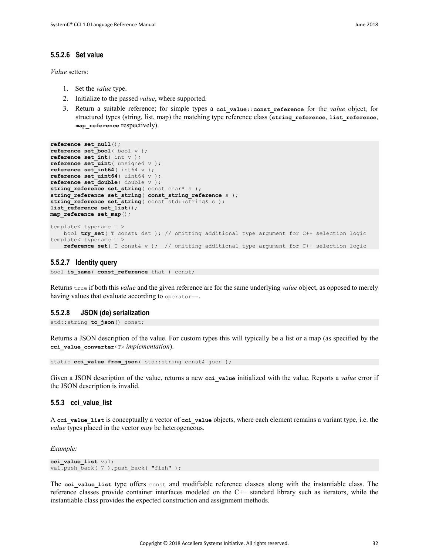#### **5.5.2.6 Set value**

*Value* setters:

- 1. Set the *value* type.
- 2. Initialize to the passed *value*, where supported.
- 3. Return a suitable reference; for simple types a **cci\_value**::**const\_reference** for the *value* object, for structured types (string, list, map) the matching type reference class (**string\_reference**, **list\_reference**, map reference respectively).

```
reference set_null();
reference set_bool( bool v );
reference set_int( int v );
reference set_uint( unsigned v );
reference set_int64( int64 v );
reference set_uint64( uint64 v );
reference set_double( double v );
string_reference set_string( const char* s );
string_reference set_string( const_string_reference s );
string reference set string( const std::string& s );
list_reference set_list();
map_reference set_map();
template< typename T >
    bool try_set( T const& dst ); // omitting additional type argument for C++ selection logic
template< typename T >
    reference set( T const& v ); // omitting additional type argument for C++ selection logic
```
#### **5.5.2.7 Identity query**

bool **is\_same**( **const\_reference** that ) const;

Returns true if both this *value* and the given reference are for the same underlying *value* object, as opposed to merely having values that evaluate according to operator==.

#### **5.5.2.8 JSON (de) serialization**

std::string **to** json() const;

Returns a JSON description of the value. For custom types this will typically be a list or a map (as specified by the **cci\_value\_converter**<T> *implementation*).

static **cci\_value from\_json**( std::string const& json );

Given a JSON description of the value, returns a new **cci\_value** initialized with the value. Reports a *value* error if the JSON description is invalid.

#### <span id="page-37-0"></span>**5.5.3 cci\_value\_list**

A **cci\_value\_list** is conceptually a vector of **cci\_value** objects, where each element remains a variant type, i.e. the *value* types placed in the vector *may* be heterogeneous.

*Example:*

```
cci_value_list val;
val.push_back( 7 ).push_back( "fish" );
```
The cci value list type offers const and modifiable reference classes along with the instantiable class. The reference classes provide container interfaces modeled on the C++ standard library such as iterators, while the instantiable class provides the expected construction and assignment methods.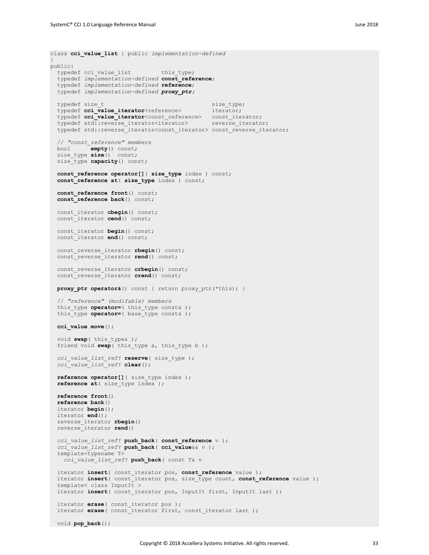```
class cci_value_list : public implementation-defined
{
public:
 typedef cci value list this type;
   typedef implementation-defined const_reference;
   typedef implementation-defined reference;
   typedef implementation-defined proxy_ptr;
  typedef size_t<br>typedef cci value iterator<reference> iterator;
  typedef cci_value_iterator<reference>
 typedef cci_value_iterator<const_reference> const_iterator;
 typedef std::reverse_iterator<iterator> reverse_iterator;
  typedef std::reverse_iterator<const_iterator> const_reverse_iterator;
   // "const_reference" members
        empty() const;
  size type size() const;
  size<sup>type</sup> capacity() const;
   const_reference operator[]( size_type index ) const;
   const_reference at( size_type index ) const;
   const_reference front() const;
   const_reference back() const;
   const_iterator cbegin() const;
   const_iterator cend() const;
  const iterator begin() const;
 const iterator end() const;
   const_reverse_iterator rbegin() const;
  const_reverse_iterator rend() const;
  const reverse iterator crbegin() const;
  const reverse iterator crend() const;
  proxy ptr operator&() const { return proxy ptr(*this); }
   // "reference" (modifable) members
  this type operator=( this type const& );
  this type operator=( base type const& );
   cci_value move();
   void swap( this_type& );
  friend void swap ( this type a, this type b );
   cci_value_list_ref† reserve( size_type );
   cci_value_list_ref† clear();
   reference operator[]( size_type index );
   reference at( size_type index );
   reference front()
   reference back()
   iterator begin();
   iterator end();
   reverse_iterator rbegin()
   reverse_iterator rend()
   cci_value_list_ref† push_back( const_reference v );
   cci_value_list_ref† push_back( cci_value&& v );
   template<typename T>
    cci_value_list_ref† push_back( const T& v
   iterator insert( const_iterator pos, const_reference value );
   iterator insert( const_iterator pos, size_type count, const_reference value );
   template< class InputIt >
  iterator insert ( const iterator pos, InputIt first, InputIt last );
   iterator erase( const_iterator pos );
  iterator erase( const iterator first, const iterator last );
 void pop_back();
```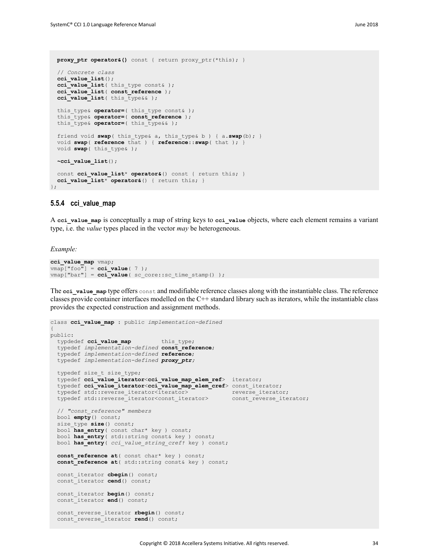```
proxy ptr operator&() const { return proxy ptr(*this); }
   // Concrete class
  cci_value_list();
  cci<sup>t</sup>value list ( this type const& );
   cci_value_list( const_reference );
  cci value list ( this type&& );
  this type& operator=( this type const& );
   this_type& operator=( const_reference );
   this_type& operator=( this_type&& );
   friend void swap( this_type& a, this_type& b ) { a.swap(b); }
  void swap( reference that ) { reference::swap( that ); }
  void swap( this_type& );
  ~cci_value_list();
 const cci value list* operator&() const { return this; }
  cci_value_list* operator&() { return this; }
};
```
#### <span id="page-39-0"></span>**5.5.4 cci\_value\_map**

A **cci\_value\_map** is conceptually a map of string keys to **cci\_value** objects, where each element remains a variant type, i.e. the *value* types placed in the vector *may* be heterogeneous.

*Example:*

```
cci_value_map vmap;
vmap["foo"] = cci value( 7 );
vmap["bar"] = <b>cci</b> value( sc core::sc time stamp() );
```
The **cci\_value\_map** type offers const and modifiable reference classes along with the instantiable class. The reference classes provide container interfaces modelled on the C++ standard library such as iterators, while the instantiable class provides the expected construction and assignment methods.

```
class cci_value_map : public implementation-defined
{
public:
 typdedef cci_value_map this type;
   typedef implementation-defined const_reference;
   typedef implementation-defined reference;
   typedef implementation-defined proxy_ptr;
   typedef size_t size_type;
  typedef cci value iterator<cci value map elem ref> iterator;
   typedef cci_value_iterator<cci_value_map_elem_cref> const_iterator;
typedef std::reverse_iterator<iterator> reverse_iterator;
 typedef std::reverse_iterator<const_iterator> const_reverse_iterator;
   // "const_reference" members
  bool empty() const;
  size type size() const;
  bool has_entry( const char* key ) const;
 bool has entry ( std::string const& key ) const;
  bool has_entry( cci_value_string_cref† key ) const;
  const_reference at( const char* key ) const;
  const_reference at( std::string const& key ) const;
 const iterator cbegin() const;
  const_iterator cend() const;
 const iterator begin() const;
 const iterator end() const;
 const reverse iterator rbegin() const;
  const reverse iterator rend() const;
```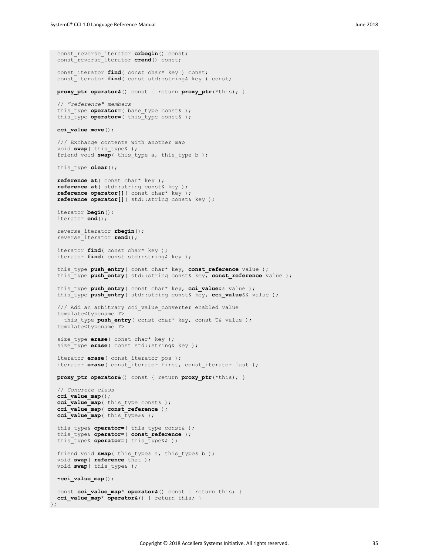```
const reverse iterator crbegin() const;
  const<sup>reverse_iterator crend() const;</sup>
  const iterator find( const char* key ) const;
  const iterator find( const std::string& key ) const;
  proxy_ptr operator&() const { return proxy_ptr(*this); }
   // "reference" members
  this type operator=( base type const& );
   this_type operator=( this_type const& );
   cci_value move();
   /// Exchange contents with another map
   void swap( this_type& );
  friend void swap ( this type a, this type b );
  this type clear();
   reference at( const char* key );
   reference at( std::string const& key );
   reference operator[]( const char* key );
   reference operator[]( std::string const& key );
   iterator begin();
   iterator end();
   reverse_iterator rbegin();
   reverse_iterator rend();
   iterator find( const char* key );
   iterator find( const std::string& key );
  this type push_entry( const char* key, const_reference value );
  this type push entry( std::string const& key, const reference value );
  this type push entry ( const char* key, cci value & value );
  this<sup>type</sup> push entry( std::string const& key, cci value && value );
  /// Add an arbitrary cci value converter enabled value
   template<typename T>
   this type push entry( const char* key, const T& value );
   template<typename T>
   size_type erase( const char* key );
   size_type erase( const std::string& key );
   iterator erase( const_iterator pos );
  iterator erase( const iterator first, const iterator last);
 proxy ptr operator&() const { return proxy ptr(*this); }
   // Concrete class
   cci_value_map();
  cci value map ( this type const& );
   cci_value_map( const_reference );
   cci_value_map( this_type&& );
   this_type& operator=( this_type const& );
   this_type& operator=( const_reference );
  this type& operator=( this type&& );
  friend void swap ( this type& a, this type& b );
   void swap( reference that );
   void swap( this_type& );
   ~cci_value_map();
   const cci_value_map* operator&() const { return this; }
  cci_value_map* operator&() { return this; }
};
```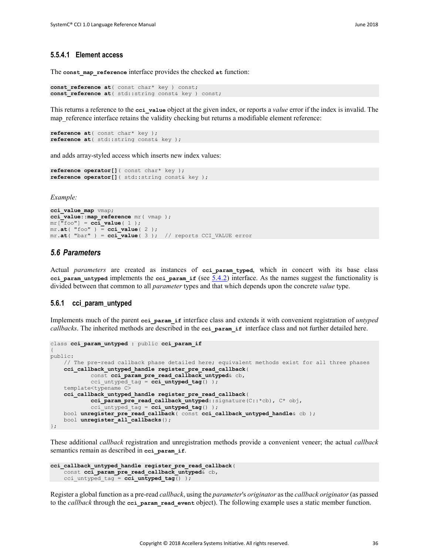The const map reference interface provides the checked at function:

```
const_reference at( const char* key ) const;
const_reference at( std::string const& key ) const;
```
This returns a reference to the **cci\_value** object at the given index, or reports a *value* error if the index is invalid. The map reference interface retains the validity checking but returns a modifiable element reference:

```
reference at( const char* key );
reference at( std::string const& key );
```
and adds array-styled access which inserts new index values:

```
reference operator[]( const char* key );
reference operator[]( std::string const& key );
```
*Example:*

```
cci_value_map vmap;
cci_value::map_reference mr( vmap );
mr["foo"] = cci_value( 1 );
mr.at(rfoo") = cci value( 2 );
mr.at( "bar" ) = cci_value( 3 ); // reports CCI_VALUE error
```
#### <span id="page-41-0"></span>*5.6 Parameters*

Actual *parameters* are created as instances of **cci\_param\_typed**, which in concert with its base class **cci** param untyped implements the cci param if (see  $5.4.2$ ) interface. As the names suggest the functionality is divided between that common to all *parameter* types and that which depends upon the concrete *value* type.

#### <span id="page-41-1"></span>**5.6.1 cci\_param\_untyped**

Implements much of the parent **cci\_param\_if** interface class and extends it with convenient registration of *untyped callbacks*. The inherited methods are described in the **cci\_param\_if** interface class and not further detailed here.

```
class cci_param_untyped : public cci_param_if
{
public:
     // The pre-read callback phase detailed here; equivalent methods exist for all three phases
     cci_callback_untyped_handle register_pre_read_callback(
            const cci param pre read callback untyped& cb,
             cci_untyped_tag = cci_untyped_tag() );
     template<typename C>
     cci_callback_untyped_handle register_pre_read_callback(
             cci_param_pre_read_callback_untyped::signature(C::*cb), C* obj,
            cci untyped tag = cci untyped tag() );
    bool unregister pre<sup>read</sup> callback( const cci callback untyped handle& cb );
     bool unregister_all_callbacks();
};
```
These additional *callback* registration and unregistration methods provide a convenient veneer; the actual *callback* semantics remain as described in **cci\_param\_if**.

```
cci_callback_untyped_handle register_pre_read_callback(
   const cci param pre read callback untyped& cb,
    cci_untyped_tag = cci_untyped_tag() );
```
Register a global function as a pre-read *callback*, using the *parameter*'s *originator* as the *callback originator*(as passed to the *callback* through the **cci\_param\_read\_event** object). The following example uses a static member function.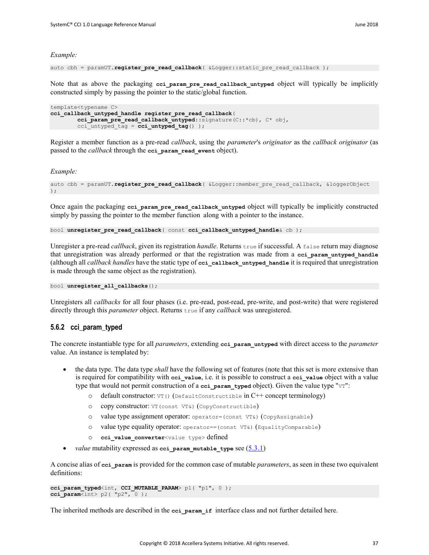#### *Example:*

auto cbh = paramUT.register pre read callback ( &Logger::static pre read callback );

Note that as above the packaging **cci\_param\_pre\_read\_callback\_untyped** object will typically be implicitly constructed simply by passing the pointer to the static/global function.

```
template<typename C>
cci_callback_untyped_handle register_pre_read_callback(
         cci_param_pre_read_callback_untyped::signature(C::*cb), C* obj,
         cci_untyped_tag = cci_untyped_tag() );
```
Register a member function as a pre-read *callback*, using the *parameter*'s *originator* as the *callback originator* (as passed to the *callback* through the **cci\_param\_read\_event** object).

#### *Example:*

auto cbh = paramUT.**register\_pre\_read\_callback**( &Logger::member\_pre\_read\_callback, &loggerObject );

Once again the packaging **cci\_param\_pre\_read\_callback\_untyped** object will typically be implicitly constructed simply by passing the pointer to the member function along with a pointer to the instance.

bool **unregister\_pre\_read\_callback**( const **cci\_callback\_untyped\_handle**& cb );

Unregister a pre-read *callback*, given its registration *handle*. Returns true if successful. A false return may diagnose that unregistration was already performed or that the registration was made from a **cci\_param\_untyped\_handle** (although all *callback handles* have the static type of **cci\_callback\_untyped\_handle** it is required that unregistration is made through the same object as the registration).

bool **unregister\_all\_callbacks**();

Unregisters all *callbacks* for all four phases (i.e. pre-read, post-read, pre-write, and post-write) that were registered directly through this *parameter* object. Returns true if any *callback* was unregistered.

#### <span id="page-42-0"></span>**5.6.2 cci\_param\_typed**

The concrete instantiable type for all *parameters*, extending **cci\_param\_untyped** with direct access to the *parameter* value. An instance is templated by:

- the data type. The data type *shall* have the following set of features (note that this set is more extensive than is required for compatibility with **cci\_value**, i.e. it is possible to construct a **cci\_value** object with a value type that would not permit construction of a cci param typed object). Given the value type "vT":
	- o default constructor:  $VT()$  (DefaultConstructible in C++ concept terminology)
	- o copy constructor: VT(const VT&) (CopyConstructible)
	- o value type assignment operator: operator=(const VT&) (CopyAssignable)
	- o value type equality operator: operator==(const VT&) (EqualityComparable)
	- o **cci\_value\_converter**<value type> defined
- *value* mutability expressed as  $cci$  param mutable type see  $(5.3.1)$

A concise alias of **cci\_param** is provided for the common case of mutable *parameters*, as seen in these two equivalent definitions:

```
cci param typed<int, CCI MUTABLE PARAM> p1( "p1", 0 );
cci_param<int> p2( "p2", 0 );
```
The inherited methods are described in the **cci\_param\_if** interface class and not further detailed here.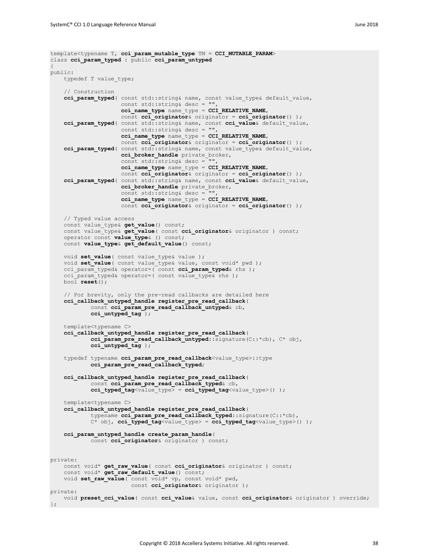```
template<typename T, cci_param_mutable_type TM = CCI_MUTABLE_PARAM>
class cci_param_typed : public cci_param_untyped
{
public:
   typedef T value type;
     // Construction
    cci param typed ( const std::string& name, const value type& default value,
                      const std::string& desc = "",
                     cci_name_type name_type = CCI_RELATIVE_NAME,
                     const cci originator& originator = cci originator() );
     cci_param_typed( const std::string& name, const cci_value& default_value,
                      const std::string& desc = "",
                     cci_name_type name_type = CCI_RELATIVE_NAME,
                     const cci originator& originator = cci_originator() );
    cci param typed ( const std::string& name, const value type& default value,
                     cci broker handle private broker,
                      const std::string& desc = "",
                     cci_name_type name_type = CCI_RELATIVE_NAME,
                     const cci originator& originator = cci_originator() );
     cci_param_typed( const std::string& name, const cci_value& default_value,
                     cci broker handle private broker,
                      const std::string& desc = "",
                     cci_name_type name_type = CCI_RELATIVE_NAME,
                      const cci_originator& originator = cci_originator() );
    // Typed value access
   const value type& get value() const;
    const value_type& get_value( const cci_originator& originator ) const;
    operator const value_type& () const;
    const value type& get default value() const;
   void set_value( const value type& value );
    void set_value( const value_type& value, const void* pwd );
     cci_param_typed& operator=( const cci_param_typed& rhs );
   cci param typed& operator=( const value type& rhs );
    bool reset();
     // For brevity, only the pre-read callbacks are detailed here
     cci_callback_untyped_handle register_pre_read_callback(
            const cci param pre read callback untyped& cb,
             cci_untyped_tag );
    template<typename C>
     cci_callback_untyped_handle register_pre_read_callback(
             cci_param_pre_read_callback_untyped::signature(C::*cb), C* obj,
             cci_untyped_tag );
     typedef typename cci_param_pre_read_callback<value_type>::type
             cci_param_pre_read_callback_typed;
     cci_callback_untyped_handle register_pre_read_callback(
            const cci param pre read callback typed& cb,
             cci_typed_tag<value_type> = cci_typed_tag<value_type>() );
     template<typename C>
    cci_callback_untyped_handle register_pre_read_callback(
             typename cci_param_pre_read_callback_typed::signature(C::*cb),
            C* obj, cci typed tag<value type> = cci typed tag<value type>() );
     cci_param_untyped_handle create_param_handle(
            const cci originator& originator ) const;
private:
    const void* get_raw_value( const cci_originator& originator ) const;
    const void* get raw default value() const;
    void set raw value<sup>(const void*</sup> vp, const void* pwd,
                         const cci_originator& originator );
private:
    void preset_cci_value( const cci_value& value, const cci_originator& originator ) override;
};
```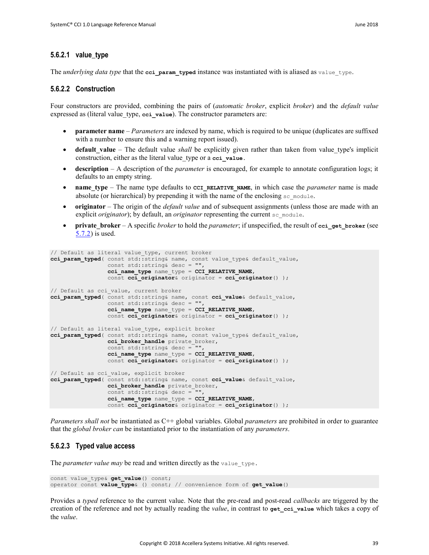### <span id="page-44-1"></span>**5.6.2.1 value\_type**

The *underlying data type* that the **cci** param typed instance was instantiated with is aliased as value type.

#### <span id="page-44-0"></span>**5.6.2.2 Construction**

Four constructors are provided, combining the pairs of (*automatic broker*, explicit *broker*) and the *default value* expressed as (literal value type, **cci** value). The constructor parameters are:

- **parameter name** *Parameters* are indexed by name, which is required to be unique (duplicates are suffixed with a number to ensure this and a warning report issued).
- **default** value The default value *shall* be explicitly given rather than taken from value type's implicit construction, either as the literal value\_type or a **cci\_value.**
- **description** A description of the *parameter* is encouraged, for example to annotate configuration logs; it defaults to an empty string.
- **name** type The name type defaults to **CCI** RELATIVE NAME, in which case the *parameter* name is made absolute (or hierarchical) by prepending it with the name of the enclosing  $\epsilon_c$  module.
- **originator** The origin of the *default value* and of subsequent assignments (unless those are made with an explicit *originator*); by default, an *originator* representing the current sc module.
- **private broker** A specific *broker* to hold the *parameter*; if unspecified, the result of **cci** get **broker** (see [5.7.2\)](#page-54-0) is used.

```
// Default as literal value type, current broker
cci_param_typed ( const std::string& name, const value type& default value,
                  const std::string& desc = "",
                  cci_name_type name_type = CCI_RELATIVE_NAME,
                  const cci_originator& originator = cci_originator() );
// Default as cci_value, current broker
cci_param_typed( const std::string& name, const cci_value& default_value,
                  const std::string& desc = "",
                  cci_name_type name_type = CCI_RELATIVE_NAME,
                  const cci_originator& originator = cci_originator() );
// Default as literal value type, explicit broker
cci_param_typed( const std::string& name, const value type& default value,
                 cci broker handle private broker,
                  const std::string& desc = "",
                  cci_name_type name_type = CCI_RELATIVE_NAME,
                  const cci_originator& originator = cci_originator() );
// Default as cci_value, explicit broker
cci_param_typed( const std::string& name, const cci_value& default_value,
                 cci_broker_handle private broker,
                  const std::string& desc = "",
                  cci_name_type name_type = CCI_RELATIVE_NAME,
                  const cci_originator& originator = cci_originator() );
```
*Parameters shall not* be instantiated as C++ global variables. Global *parameters* are prohibited in order to guarantee that the *global broker can* be instantiated prior to the instantiation of any *parameters*.

#### **5.6.2.3 Typed value access**

The *parameter value may* be read and written directly as the value type.

const value\_type& **get\_value**() const; operator const **value\_type**& () const; // convenience form of **get\_value**()

Provides a *typed* reference to the current value. Note that the pre-read and post-read *callbacks* are triggered by the creation of the reference and not by actually reading the *value*, in contrast to get cci value which takes a copy of the *value*.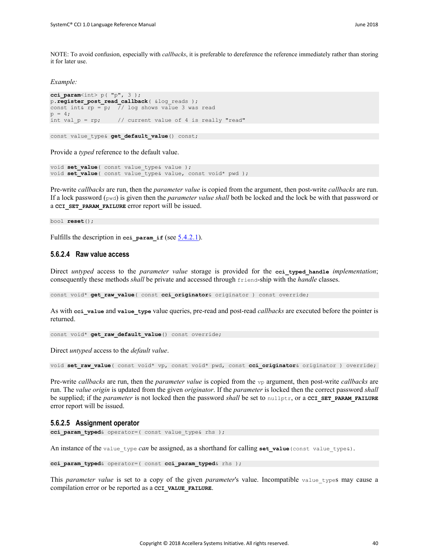NOTE: To avoid confusion, especially with *callbacks*, it is preferable to dereference the reference immediately rather than storing it for later use.

*Example:*

```
cci param<sub>int</sub> > p( "p", 3 );p.register_post_read_callback( &log_reads );
const int\sqrt{\epsilon} rp = p; \sqrt{7} log shows value 3 was read
p = 4;int val p = rp; // current value of 4 is really "read"
```
const value type& **get default value**() const;

Provide a *typed* reference to the default value.

void **set\_value**( const value\_type& value ); void **set\_value**( const value\_type& value, const void\* pwd );

Pre-write *callbacks* are run, then the *parameter value* is copied from the argument, then post-write *callbacks* are run. If a lock password (pwd) is given then the *parameter value shall* both be locked and the lock be with that password or a **CCI** SET PARAM FAILURE error report will be issued.

bool **reset**();

Fulfills the description in **cci** param if (see [5.4.2.1\)](#page-19-0).

# **5.6.2.4 Raw value access**

Direct *untyped* access to the *parameter value* storage is provided for the **cci** typed handle *implementation*; consequently these methods *shall* be private and accessed through friend-ship with the *handle* classes.

const void\* get raw value ( const cci originator & originator ) const override;

As with **cci** value and value type value queries, pre-read and post-read *callbacks* are executed before the pointer is returned.

const void\* get raw default value() const override;

Direct *untyped* access to the *default value*.

void **set\_raw\_value**( const void\* vp, const void\* pwd, const **cci\_originator**& originator ) override;

Pre-write *callbacks* are run, then the *parameter value* is copied from the vp argument, then post-write *callbacks* are run. The *value origin* is updated from the given *originator*. If the *parameter* is locked then the correct password *shall* be supplied; if the *parameter* is not locked then the password *shall* be set to nullptr, or a **CCI\_SET\_PARAM\_FAILURE** error report will be issued.

#### **5.6.2.5 Assignment operator**

**cci\_param\_typed**& operator=( const value\_type& rhs );

An instance of the value type *can* be assigned, as a shorthand for calling set value (const value types).

```
cci_param_typed& operator=( const cci_param_typed& rhs );
```
This *parameter value* is set to a copy of the given *parameter*'s value. Incompatible value\_types may cause a compilation error or be reported as a **CCI\_VALUE\_FAILURE**.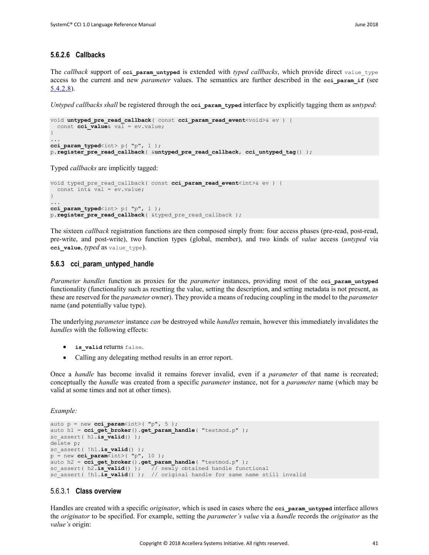# <span id="page-46-1"></span>**5.6.2.6 Callbacks**

The *callback* support of cei param untyped is extended with *typed callbacks*, which provide direct value type access to the current and new *parameter* values. The semantics are further described in the cci param if (see [5.4.2.8\)](#page-22-0).

*Untyped callbacks shall* be registered through the **cci** param typed interface by explicitly tagging them as *untyped*:

```
void untyped_pre_read_callback( const cci_param_read_event<void>& ev ) {
  const cci_value& val = ev.value;
}
...
cci param typed<int> p( "p", 1 );
p.register_pre_read_callback( &untyped_pre_read_callback, cci_untyped_tag() );
```
Typed *callbacks* are implicitly tagged:

```
void typed pre read callback( const cci param read event<int>& ev ) {
  const int& val = ev.value;
}
...
cci_param_typed<int> p( "p", 1 );
p.register pre read callback ( &typed pre read callback );
```
The sixteen *callback* registration functions are then composed simply from: four access phases (pre-read, post-read, pre-write, and post-write), two function types (global, member), and two kinds of *value* access (*untyped* via **cci** value, *typed* as value type).

#### <span id="page-46-0"></span>**5.6.3 cci\_param\_untyped\_handle**

*Parameter handles* function as proxies for the *parameter* instances, providing most of the **cci\_param\_untyped** functionality (functionality such as resetting the value, setting the description, and setting metadata is not present, as these are reserved for the *parameter* owner). They provide a means of reducing coupling in the model to the *parameter* name (and potentially value type).

The underlying *parameter* instance *can* be destroyed while *handles* remain, however this immediately invalidates the *handles* with the following effects:

- **is\_valid** returns false.
- Calling any delegating method results in an error report.

Once a *handle* has become invalid it remains forever invalid, even if a *parameter* of that name is recreated; conceptually the *handle* was created from a specific *parameter* instance, not for a *parameter* name (which may be valid at some times and not at other times).

*Example:*

```
auto p = new cci_param<int>( "p", 5 );
auto h1 = cci get broker().get param handle( "testmod.p" );
sc_assert( h1.is valid() );
delete p;
sc_assert( !h1.is valid() );
p = new cci param\overline{\text{C}}int>( "p", 10 );
auto h2 = cci_get_broker().get_param_handle( "testmod.p" );
sc_assert( h2.is_valid() ); // newly obtained handle functional
sc assert( !h1.is_valid() ); // original handle for same name still invalid
```
#### 5.6.3.1 **Class overview**

Handles are created with a specific *originator*, which is used in cases where the **cci\_param\_untyped** interface allows the *originator* to be specified. For example, setting the *parameter's value* via a *handle* records the *originator* as the *value's* origin: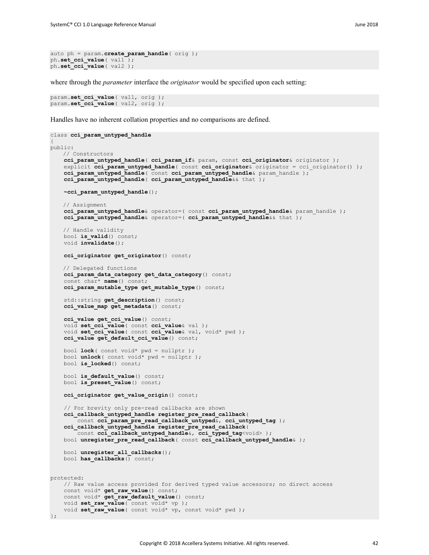```
auto ph = param.create param handle( orig );
ph.set_cci_value( val1 );
ph.set cci value( val2 );
```
where through the *parameter* interface the *originator* would be specified upon each setting:

param.**set\_cci\_value**( val1, orig ); param.set cci value( val2, orig );

Handles have no inherent collation properties and no comparisons are defined.

```
class cci_param_untyped_handle
{
public:
  // Constructors
    cci_param_untyped_handle( cci_param_if& param, const cci_originator& originator );
    explicit cci param untyped handle( const cci originator& originator = cci originator() );
     cci_param_untyped_handle( const cci_param_untyped_handle& param_handle );
     cci_param_untyped_handle( cci_param_untyped_handle&& that );
    ~cci_param_untyped_handle();
   // Assignment
     cci_param_untyped_handle& operator=( const cci_param_untyped_handle& param_handle );
     cci_param_untyped_handle& operator=( cci_param_untyped_handle&& that );
   // Handle validity
    bool is valid() const;
    void invalidate();
    cci_originator get_originator() const;
   // Delegated functions
    cci_param_data_category get_data_category() const;
     const char* name() const;
     cci_param_mutable_type get_mutable_type() const;
   std::string get description() const;
     cci_value_map get_metadata() const;
     cci_value get_cci_value() const;
    void set cci value( const cci value& val );
     void set_cci_value( const cci_value& val, void* pwd );
     cci_value get_default_cci_value() const;
     bool lock( const void* pwd = nullptr );
     bool unlock( const void* pwd = nullptr );
    bool is_locked() const;
    bool is_default_value() const;
    bool is_preset_value() const;
     cci_originator get_value_origin() const;
     // For brevity only pre-read callbacks are shown
     cci_callback_untyped_handle register_pre_read_callback(
         const cci_param_pre_read_callback_untyped&, cci_untyped_tag );
     cci_callback_untyped_handle register_pre_read_callback(
         const cci_callback_untyped_handle&, cci_typed_tag<void> );
     bool unregister_pre_read_callback( const cci_callback_untyped_handle& );
     bool unregister_all_callbacks();
     bool has_callbacks() const;
protected:
    // Raw value access provided for derived typed value accessors; no direct access
    const void* get_raw_value() const;
    const void* get_raw_default_value() const;
   void set raw value ( const void* vp );
   void set raw value ( const void* vp, const void* pwd );
```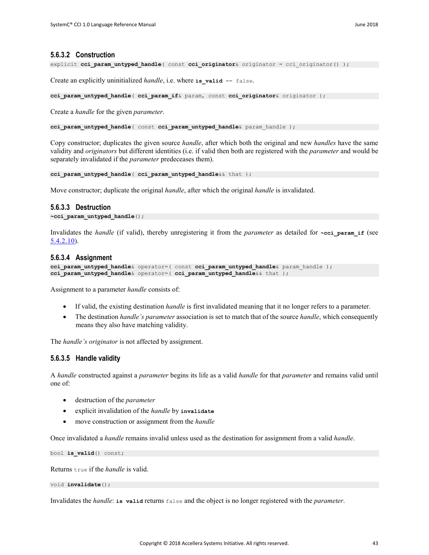#### **5.6.3.2 Construction**

explicit **cci\_param\_untyped\_handle**( const **cci\_originator**& originator = cci\_originator() );

Create an explicitly uninitialized *handle*, i.e. where **is\_valid** == false.

**cci\_param\_untyped\_handle**( **cci\_param\_if**& param, const **cci\_originator**& originator );

Create a *handle* for the given *parameter*.

**cci\_param\_untyped\_handle**( const **cci\_param\_untyped\_handle**& param\_handle );

Copy constructor; duplicates the given source *handle*, after which both the original and new *handles* have the same validity and *originators* but different identities (i.e. if valid then both are registered with the *parameter* and would be separately invalidated if the *parameter* predeceases them).

**cci\_param\_untyped\_handle**( **cci\_param\_untyped\_handle**&& that );

Move constructor; duplicate the original *handle*, after which the original *handle* is invalidated.

#### **5.6.3.3 Destruction**

**~cci\_param\_untyped\_handle**();

Invalidates the *handle* (if valid), thereby unregistering it from the *parameter* as detailed for **~cci\_param\_if** (see [5.4.2.10\)](#page-25-1).

#### <span id="page-48-0"></span>**5.6.3.4 Assignment**

```
cci_param_untyped_handle& operator=( const cci_param_untyped_handle& param_handle );
cci_param_untyped_handle& operator=( cci_param_untyped_handle&& that );
```
Assignment to a parameter *handle* consists of:

- If valid, the existing destination *handle* is first invalidated meaning that it no longer refers to a parameter.
- The destination *handle's parameter* association is set to match that of the source *handle*, which consequently means they also have matching validity.

The *handle's originator* is not affected by assignment.

#### **5.6.3.5 Handle validity**

A *handle* constructed against a *parameter* begins its life as a valid *handle* for that *parameter* and remains valid until one of:

- destruction of the *parameter*
- explicit invalidation of the *handle* by **invalidate**
- move construction or assignment from the *handle*

Once invalidated a *handle* remains invalid unless used as the destination for assignment from a valid *handle*.

bool **is\_valid**() const;

Returns true if the *handle* is valid.

```
void invalidate();
```
Invalidates the *handle*: **is valid** returns false and the object is no longer registered with the *parameter*.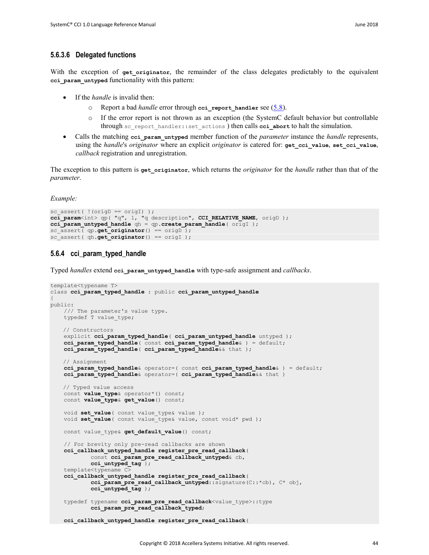#### **5.6.3.6 Delegated functions**

With the exception of get originator, the remainder of the class delegates predictably to the equivalent **cci\_param\_untyped** functionality with this pattern:

- If the *handle* is invalid then:
	- o Report a bad *handle* error through **cci\_report\_handler** see [\(5.8\)](#page-55-0).
	- If the error report is not thrown as an exception (the SystemC default behavior but controllable through sc\_report\_handler::set\_actions ) then calls **cci\_abort** to halt the simulation.
- Calls the matching coi param untyped member function of the *parameter* instance the *handle* represents, using the *handle*'s *originator* where an explicit *originator* is catered for: **get\_cci\_value**, **set\_cci\_value**, *callback* registration and unregistration.

The exception to this pattern is **get\_originator**, which returns the *originator* for the *handle* rather than that of the *parameter*.

*Example:*

```
sc assert( !( origD == origI) );cci_param<int> qp( "q", 1, "q description", CCI_RELATIVE_NAME, origD );
cci_param_untyped_handle qh = qp.create_param_handle( origI );
sc_assert( qp.get_originator() == origD );
sc_assert( qh.get_originator() == origI );
```
# <span id="page-49-0"></span>**5.6.4 cci\_param\_typed\_handle**

Typed *handles* extend **cci\_param\_untyped\_handle** with type-safe assignment and *callbacks*.

```
template<typename T>
class cci_param_typed_handle : public cci_param_untyped_handle
{
public:
    /// The parameter's value type.
    typedef T value_type;
   // Constructors
    explicit cci param typed handle ( cci param untyped handle untyped );
     cci_param_typed_handle( const cci_param_typed_handle& ) = default;
     cci_param_typed_handle( cci_param_typed_handle&& that );
   // Assignment
    cci_param_typed_handle& operator=( const cci_param_typed_handle& ) = default;
     cci_param_typed_handle& operator=( cci_param_typed_handle&& that )
   // Typed value access
    const value_type& operator*() const;
    const value_type& get_value() const;
   void set value ( const value type& value );
    void set_value( const value_type& value, const void* pwd );
   const value type& get_default_value() const;
     // For brevity only pre-read callbacks are shown
     cci_callback_untyped_handle register_pre_read_callback( 
           const cci param pre read callback untyped& cb,
             cci_untyped_tag ); 
     template<typename C> 
     cci_callback_untyped_handle register_pre_read_callback( 
             cci_param_pre_read_callback_untyped::signature(C::*cb), C* obj, 
             cci_untyped_tag ); 
     typedef typename cci_param_pre_read_callback<value_type>::type 
             cci_param_pre_read_callback_typed; 
     cci_callback_untyped_handle register_pre_read_callback(
```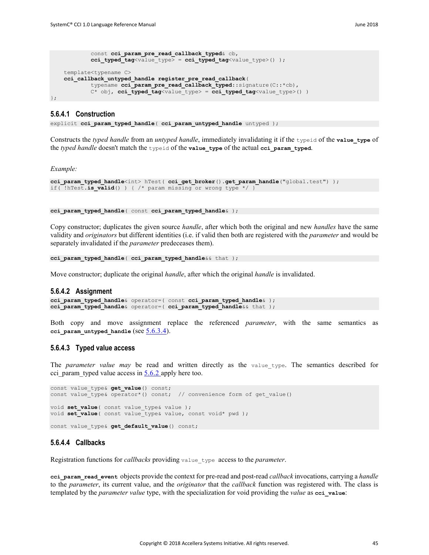```
 const cci_param_pre_read_callback_typed& cb, 
         cci_typed_tag<value_type> = cci_typed_tag<value_type>() ); 
 template<typename C> 
 cci_callback_untyped_handle register_pre_read_callback( 
        typename cci param pre read callback typed::signature(C::*cb),
         C* obj, cci_typed_tag<value_type> = cci_typed_tag<value_type>() )
```
### **5.6.4.1 Construction**

explicit **cci\_param\_typed\_handle**( **cci\_param\_untyped\_handle** untyped );

Constructs the *typed handle* from an *untyped handle*, immediately invalidating it if the typeid of the **value\_type** of the *typed handle* doesn't match the typeid of the **value\_type** of the actual **cci\_param\_typed**.

*Example:*

};

```
cci_param_typed_handle<int> hTest( cci_get_broker().get_param_handle("global.test") );
if( !hTest.is_valid() ) { /* param missing or wrong type */ }
```
**cci\_param\_typed\_handle**( const **cci\_param\_typed\_handle**& );

Copy constructor; duplicates the given source *handle*, after which both the original and new *handles* have the same validity and *originators* but different identities (i.e. if valid then both are registered with the *parameter* and would be separately invalidated if the *parameter* predeceases them).

**cci\_param\_typed\_handle**( **cci\_param\_typed\_handle**&& that );

Move constructor; duplicate the original *handle*, after which the original *handle* is invalidated.

#### **5.6.4.2 Assignment**

```
cci_param_typed_handle& operator=( const cci_param_typed_handle& );
cci_param_typed_handle& operator=( cci_param_typed_handle&& that );
```
Both copy and move assignment replace the referenced *parameter*, with the same semantics as **cci\_param\_untyped\_handle** (see [5.6.3.4\)](#page-48-0).

#### **5.6.4.3 Typed value access**

The *parameter value may* be read and written directly as the value\_type. The semantics described for cci param typed value access in  $5.6.2$  apply here too.

```
const value_type& get_value() const;
const value_type& operator*() const; // convenience form of get value()
void set value ( const value type& value );
void set value ( const value type& value, const void* pwd );
const value type& get default value() const;
```
#### <span id="page-50-0"></span>**5.6.4.4 Callbacks**

Registration functions for *callbacks* providing value\_type access to the *parameter*.

**cci\_param\_read\_event** objects provide the context for pre-read and post-read *callback* invocations, carrying a *handle* to the *parameter*, its current value, and the *originator* that the *callback* function was registered with. The class is templated by the *parameter value* type, with the specialization for void providing the *value* as **cci\_value**: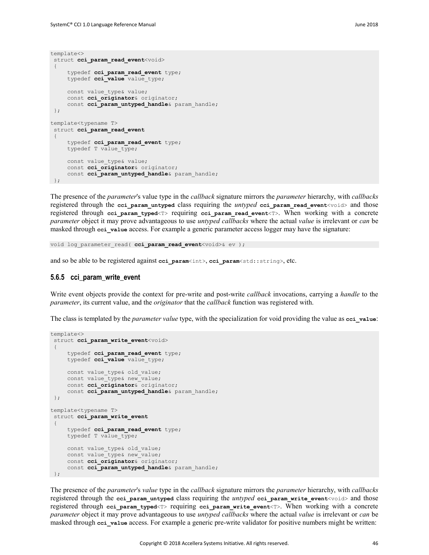```
template<>
struct cci param read event<void>
 {
     typedef cci_param_read_event type;
    typedef cci value value type;
    const value type& value;
    const cci originator& originator;
     const cci_param_untyped_handle& param_handle;
 };
template<typename T>
struct cci_param_read_event
 {
     typedef cci_param_read_event type;
    typedef T value type;
    const value type& value;
    const cci originator& originator;
    const cci param untyped handle& param handle;
};
```
The presence of the *parameter*'s value type in the *callback* signature mirrors the *parameter* hierarchy, with *callbacks* registered through the **cci\_param\_untyped** class requiring the *untyped* **cci\_param\_read\_event**<void> and those registered through **cci\_param\_typed**<T> requiring **cci\_param\_read\_event**<T>. When working with a concrete *parameter* object it may prove advantageous to use *untyped callbacks* where the actual *value* is irrelevant or *can* be masked through **cci** value access. For example a generic parameter access logger may have the signature:

```
void log parameter read( cci param read event<void>& ev );
```
and so be able to be registered against cci param<int>, cci param<std::string>, etc.

#### <span id="page-51-0"></span>**5.6.5 cci\_param\_write\_event**

Write event objects provide the context for pre-write and post-write *callback* invocations, carrying a *handle* to the *parameter*, its current value, and the *originator* that the *callback* function was registered with.

The class is templated by the *parameter value* type, with the specialization for void providing the value as **cci\_value**:

```
template<>
struct cci param write event<void>
 {
     typedef cci_param_read_event type;
     typedef cci_value value_type;
    const value type& old value;
    const value type& new value;
    const cci originator& originator;
     const cci param untyped handle& param handle;
 };
template<typename T>
struct cci_param_write_event
 {
     typedef cci_param_read_event type;
      typedef T value_type;
    const value type& old value;
    const value type& new value;
    const cci originator& originator;
    const cci param untyped handle& param handle;
};
```
The presence of the *parameter*'s *value* type in the *callback* signature mirrors the *parameter* hierarchy, with *callbacks* registered through the **cci\_param\_untyped** class requiring the *untyped* **cci\_param\_write\_event**<void> and those registered through **cci\_param\_typed**<T> requiring **cci\_param\_write\_event**<T>. When working with a concrete *parameter* object it may prove advantageous to use *untyped callbacks* where the actual *value* is irrelevant or *can* be masked through **cci\_value** access. For example a generic pre-write validator for positive numbers might be written: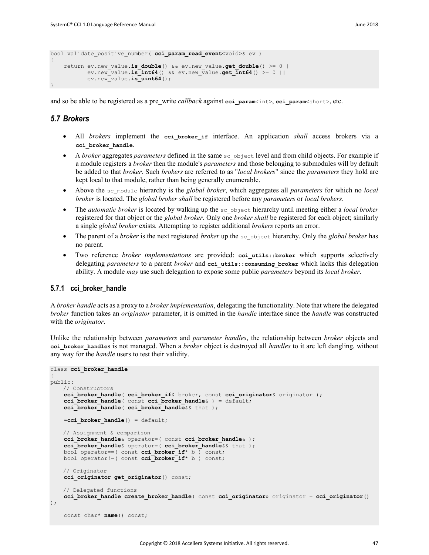```
bool validate positive number( cci param read event<void>& ev )
{
     return ev.new_value.is_double() && ev.new_value.get_double() >= 0 ||
            ev.new<sup>-</sup>value.is<sup>-</sup>int64() && ev.new value.get int64() >= 0 ||
             ev.new_value.is_uint64();
}
```
and so be able to be registered as a pre\_write *callback* against **cci\_param**<int>, **cci\_param**<short>, etc.

# <span id="page-52-0"></span>*5.7 Brokers*

- All *brokers* implement the **cci** broker if interface. An application *shall* access brokers via a **cci\_broker\_handle**.
- A *broker* aggregates *parameters* defined in the same sc object level and from child objects. For example if a module registers a *broker* then the module's *parameters* and those belonging to submodules will by default be added to that *broker*. Such *brokers* are referred to as "*local brokers*" since the *parameters* they hold are kept local to that module, rather than being generally enumerable.
- Above the sc<sub>module</sub> hierarchy is the *global broker*, which aggregates all *parameters* for which no *local broker* is located. The *global broker shall* be registered before any *parameters* or *local brokers*.
- The *automatic broker* is located by walking up the sc object hierarchy until meeting either a *local broker* registered for that object or the *global broker*. Only one *broker shall* be registered for each object; similarly a single *global broker* exists. Attempting to register additional *brokers* reports an error.
- The parent of a *broker* is the next registered *broker* up the sc\_object hierarchy. Only the *global broker* has no parent.
- Two reference *broker implementations* are provided: **cci\_utils**::**broker** which supports selectively delegating *parameters* to a parent *broker* and **cci\_utils**::**consuming\_broker** which lacks this delegation ability. A module *may* use such delegation to expose some public *parameters* beyond its *local broker*.

#### <span id="page-52-1"></span>**5.7.1 cci\_broker\_handle**

A *broker handle* acts as a proxy to a *broker implementation*, delegating the functionality. Note that where the delegated *broker* function takes an *originator* parameter, it is omitted in the *handle* interface since the *handle* was constructed with the *originator*.

Unlike the relationship between *parameters* and *parameter handles*, the relationship between *broker* objects and **cci\_broker\_handle**s is not managed. When a *broker* object is destroyed all *handles* to it are left dangling, without any way for the *handle* users to test their validity.

```
class cci_broker_handle
{
public:
   // Constructors
    cci_broker_handle( cci_broker_if& broker, const cci_originator& originator );
     cci_broker_handle( const cci_broker_handle& ) = default;
    cci_broker_handle( cci_broker_handle&& that );
     ~cci_broker_handle() = default;
    // Assignment & comparison
     cci_broker_handle& operator=( const cci_broker_handle& );
     cci_broker_handle& operator=( cci_broker_handle&& that );
    bool operator==( const cci_broker_if* b ) const;
     bool operator!=( const cci_broker_if* b ) const;
   // Originator
    cci_originator get_originator() const;
    // Delegated functions
     cci_broker_handle create_broker_handle( const cci_originator& originator = cci_originator()
);
     const char* name() const;
```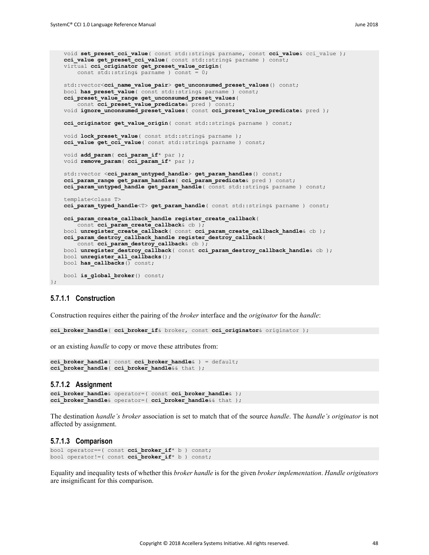```
void set preset cci value ( const std::string& parname, const cci value& cci value );
 cci_value get_preset_cci_value( const std::string& parname ) const;
 virtual cci_originator get_preset_value_origin(
    const std::string& parname ) const = 0;
 std::vector<cci_name_value_pair> get_unconsumed_preset_values() const;
 bool has_preset_value( const std::string& parname ) const;
 cci_preset_value_range get_unconsumed_preset_values(
     const cci_preset_value_predicate& pred ) const;
 void ignore_unconsumed_preset_values( const cci_preset_value_predicate& pred );
cci originator get value origin ( const std::string& parname ) const;
void lock preset value ( const std::string& parname );
cci value get cci value ( const std::string& parname ) const;
 void add_param( cci_param_if* par );
 void remove_param( cci_param_if* par );
 std::vector <cci_param_untyped_handle> get_param_handles() const;
 cci_param_range get_param_handles( cci_param_predicate& pred ) const;
 cci_param_untyped_handle get_param_handle( const std::string& parname ) const;
 template<class T>
 cci_param_typed_handle<T> get_param_handle( const std::string& parname ) const;
 cci_param_create_callback_handle register_create_callback(
    const cci param create callback& cb );
bool unregister create callback( const cci param create callback handle& cb );
 cci_param_destroy_callback_handle register_destroy_callback(
    const cci param destroy callback& cb );
 bool unregister_destroy_callback( const cci_param_destroy_callback_handle& cb );
 bool unregister_all_callbacks();
 bool has_callbacks() const;
 bool is_global_broker() const;
```
#### **5.7.1.1 Construction**

};

Construction requires either the pairing of the *broker* interface and the *originator* for the *handle*:

```
cci_broker_handle( cci_broker_if& broker, const cci_originator& originator );
```
or an existing *handle* to copy or move these attributes from:

```
cci_broker_handle( const cci_broker_handle& ) = default;
cci_broker_handle( cci_broker_handle&& that );
```
#### **5.7.1.2 Assignment**

```
cci_broker_handle& operator=( const cci_broker_handle& );
cci_broker_handle& operator=( cci_broker_handle&& that );
```
The destination *handle's broker* association is set to match that of the source *handle*. The *handle's originator* is not affected by assignment.

#### **5.7.1.3 Comparison**

```
bool operator==( const cci_broker_if* b ) const;
bool operator!=( const cci_broker_if* b ) const;
```
Equality and inequality tests of whether this *broker handle* is for the given *broker implementation*. *Handle originators* are insignificant for this comparison.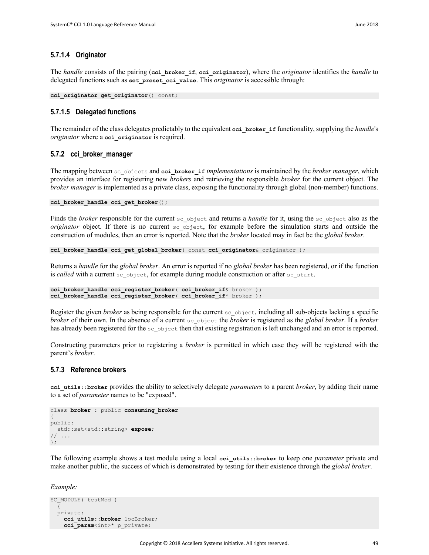#### **5.7.1.4 Originator**

The *handle* consists of the pairing (**cci\_broker\_if**, **cci\_originator**), where the *originator* identifies the *handle* to delegated functions such as **set\_preset\_cci\_value**. This *originator* is accessible through:

**cci\_originator get\_originator**() const;

#### **5.7.1.5 Delegated functions**

The remainder of the class delegates predictably to the equivalent **cci\_broker\_if** functionality, supplying the *handle*'s *originator* where a **cci\_originator** is required.

#### <span id="page-54-0"></span>**5.7.2 cci\_broker\_manager**

The mapping between sc\_objects and **cci\_broker\_if** *implementations* is maintained by the *broker manager*, which provides an interface for registering new *brokers* and retrieving the responsible *broker* for the current object. The *broker manager* is implemented as a private class, exposing the functionality through global (non-member) functions.

**cci\_broker\_handle cci\_get\_broker**();

Finds the *broker* responsible for the current sc\_object and returns a *handle* for it, using the sc\_object also as the *originator* object. If there is no current sc\_object, for example before the simulation starts and outside the construction of modules, then an error is reported. Note that the *broker* located may in fact be the *global broker*.

**cci\_broker\_handle cci\_get\_global\_broker**( const **cci\_originator**& originator );

Returns a *handle* for the *global broker*. An error is reported if no *global broker* has been registered, or if the function is *called* with a current sc\_object, for example during module construction or after sc\_start.

```
cci_broker_handle cci_register_broker( cci_broker_if& broker );
cci_broker_handle cci_register_broker( cci_broker_if* broker );
```
Register the given *broker* as being responsible for the current sc\_object, including all sub-objects lacking a specific *broker* of their own. In the absence of a current sc\_object the *broker* is registered as the *global broker*. If a *broker*  has already been registered for the  $\frac{1}{5}$  object then that existing registration is left unchanged and an error is reported.

Constructing parameters prior to registering a *broker* is permitted in which case they will be registered with the parent's *broker*.

#### <span id="page-54-1"></span>**5.7.3 Reference brokers**

**cci\_utils**::**broker** provides the ability to selectively delegate *parameters* to a parent *broker*, by adding their name to a set of *parameter* names to be "exposed".

```
class broker : public consuming_broker
{
public:
   std::set<std::string> expose;
// ...
};
```
The following example shows a test module using a local **cci\_utils**::**broker** to keep one *parameter* private and make another public, the success of which is demonstrated by testing for their existence through the *global broker*.

*Example:*

```
SC_MODULE( testMod )
\left\{ \right. private:
     cci_utils::broker locBroker;
    cci param<int>* p_private;
```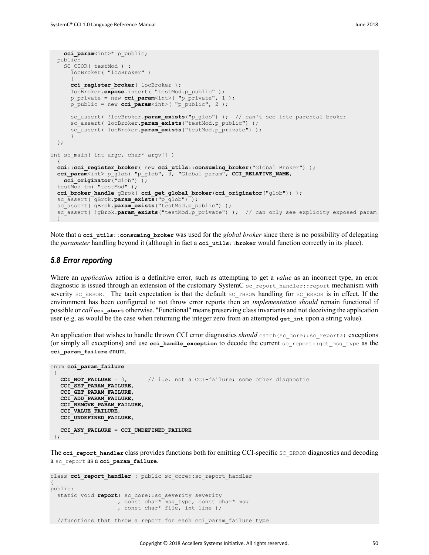```
 cci_param<int>* p_public;
   public:
    SC CTOR( testMod ) :
       locBroker( "locBroker" )
\left\{ \begin{array}{c} \end{array} \right. cci_register_broker( locBroker );
      locBroker.expose.insert( "testMod.p public" );
      p private = new cci param\langleint>( "p private", 1 );
       p_public = new cci_param<int>( "p_public", 2 );
      sc assert( !locBroker.param exists("p_glob") ); // can't see into parental broker
       sc_assert( locBroker.param_exists("testMod.p_public") );
      sc_assert( locBroker.param_exists("testMod.p_private") );
 }
   };
int sc main( int argc, char* argv[] )
\left\{ \right. cci::cci_register_broker( new cci_utils::consuming_broker("Global Broker") );
  cci param<int> p_glob( "p_glob", 3, "Global param", CCI_RELATIVE_NAME,
    cci_originator("glob") );
   testMod tm( "testMod" );
   cci_broker_handle gBrok( cci_get_global_broker(cci_originator("glob")) );
  sc_assert( gBrok.param exists("p_glob") );
  sc_assert( gBrok.param_exists("testMod.p_public") );
   sc_assert( !gBrok.param_exists("testMod.p_private") ); // can only see explicity exposed param
   }
```
Note that a **cci\_utils**::**consuming\_broker** was used for the *global broker* since there is no possibility of delegating the *parameter* handling beyond it (although in fact a **cci\_utils**::**broker** would function correctly in its place).

#### <span id="page-55-0"></span>*5.8 Error reporting*

Where an *application* action is a definitive error, such as attempting to get a *value* as an incorrect type, an error diagnostic is issued through an extension of the customary SystemC sc\_report\_handler::report\_mechanism with severity SC\_ERROR. The tacit expectation is that the default SC\_THROW handling for SC\_ERROR is in effect. If the environment has been configured to not throw error reports then an *implementation should* remain functional if possible or *call* **cci\_abort** otherwise. "Functional" means preserving class invariants and not deceiving the application user (e.g. as would be the case when returning the integer zero from an attempted **get\_int** upon a string value).

An application that wishes to handle thrown CCI error diagnostics *should* catch(sc\_core::sc\_report&) exceptions (or simply all exceptions) and use **cci\_handle\_exception** to decode the current sc\_report::get\_msg\_type as the **cci\_param\_failure** enum.

```
enum cci_param_failure
 {
  CCI NOT FAILURE = 0, // i.e. not a CCI-failure; some other diagnostic
   CCI_SET_PARAM_FAILURE,
    CCI_GET_PARAM_FAILURE,
   CCI_ADD_PARAM_FAILURE,
   CCI_REMOVE_PARAM_FAILURE,
   CCI_VALUE_FAILURE,
   CCI_UNDEFINED_FAILURE,
   CCI_ANY_FAILURE = CCI_UNDEFINED_FAILURE
};
```
The cci report handler class provides functions both for emitting CCI-specific SC\_ERROR diagnostics and decoding a sc\_report as a **cci\_param\_failure**.

```
class cci report handler : public sc core::sc report handler
{
public:
  static void report ( sc core::sc severity severity
                     , const char* msg_type, const char* msg
                    , const char* file, int line );
 //functions that throw a report for each cci_param_failure type
```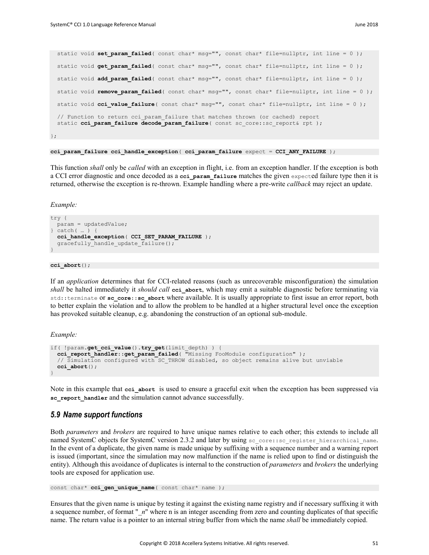```
static void set param failed ( const char* msg="", const char* file=nullptr, int line = 0 );
static void get param failed ( const char* msg="", const char* file=nullptr, int line = 0 );
static void add param failed ( const char* msq="", const char* file=nullptr, int line = 0 );
static void remove param failed( const char* msg="", const char* file=nullptr, int line = 0 );
static void cci_value_failure( const char* msg="", const char* file=nullptr, int line = 0 );
 // Function to return cci_param_failure that matches thrown (or cached) report
 static cci_param_failure decode_param_failure( const sc_core::sc_report& rpt );
```
};

#### **cci\_param\_failure cci\_handle\_exception**( **cci\_param\_failure** expect = **CCI\_ANY\_FAILURE** );

This function *shall* only be *called* with an exception in flight, i.e. from an exception handler. If the exception is both a CCI error diagnostic and once decoded as a **cci\_param\_failure** matches the given expected failure type then it is returned, otherwise the exception is re-thrown. Example handling where a pre-write *callback* may reject an update.

*Example:*

```
try {
  param = updatedValue;
} catch( … ) {
  cci_handle_exception( CCI_SET_PARAM_FAILURE );
   gracefully_handle_update_failure();
}
```
#### **cci\_abort**();

If an *application* determines that for CCI-related reasons (such as unrecoverable misconfiguration) the simulation *shall* be halted immediately it *should call* **cci\_abort**, which may emit a suitable diagnostic before terminating via std::terminate or **sc\_core**::**sc\_sbort** where available. It is usually appropriate to first issue an error report, both to better explain the violation and to allow the problem to be handled at a higher structural level once the exception has provoked suitable cleanup, e.g. abandoning the construction of an optional sub-module.

*Example:*

```
if( !param.get_cci_value().try_get(limit_depth) ) {
  cci_report_handler::get_param_failed( "Missing FooModule configuration" );
   // Simulation configured with SC_THROW disabled, so object remains alive but unviable
  cci_abort();
}
```
Note in this example that **cci** abort is used to ensure a graceful exit when the exception has been suppressed via **sc\_report\_handler** and the simulation cannot advance successfully.

#### <span id="page-56-0"></span>*5.9 Name support functions*

Both *parameters* and *brokers* are required to have unique names relative to each other; this extends to include all named SystemC objects for SystemC version 2.3.2 and later by using sc\_core::sc\_register\_hierarchical\_name. In the event of a duplicate, the given name is made unique by suffixing with a sequence number and a warning report is issued (important, since the simulation may now malfunction if the name is relied upon to find or distinguish the entity). Although this avoidance of duplicates is internal to the construction of *parameters* and *brokers* the underlying tools are exposed for application use.

const char\* cci gen unique name ( const char\* name );

Ensures that the given name is unique by testing it against the existing name registry and if necessary suffixing it with a sequence number, of format "\_*n*" where n is an integer ascending from zero and counting duplicates of that specific name. The return value is a pointer to an internal string buffer from which the name *shall* be immediately copied.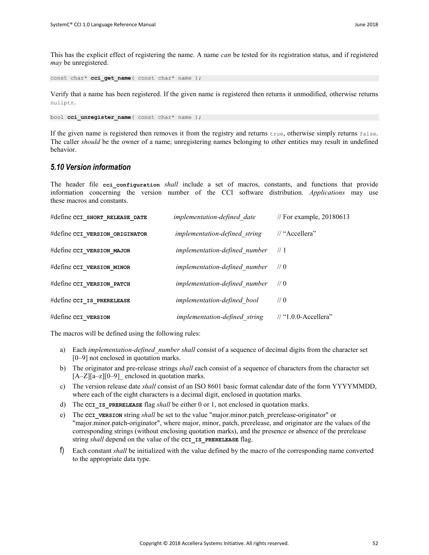This has the explicit effect of registering the name. A name *can* be tested for its registration status, and if registered *may* be unregistered.

const char\* **cci\_get\_name**( const char\* name );

Verify that a name has been registered. If the given name is registered then returns it unmodified, otherwise returns nullptr.

bool **cci\_unregister\_name**( const char\* name );

If the given name is registered then removes it from the registry and returns true, otherwise simply returns false. The caller *should* be the owner of a name; unregistering names belonging to other entities may result in undefined behavior.

# <span id="page-57-0"></span>*5.10 Version information*

The header file **cci** configuration *shall* include a set of macros, constants, and functions that provide information concerning the version number of the CCI software distribution. *Applications* may use these macros and constants.

| #define CCI SHORT RELEASE DATE | implementation-defined date          | // For example, 20180613        |
|--------------------------------|--------------------------------------|---------------------------------|
| #define cci version originator | <i>implementation-defined string</i> | // "Accellera"                  |
| #define cci version major      | <i>implementation-defined number</i> | $\frac{1}{1}$                   |
| #define cci version minor      | <i>implementation-defined number</i> | $\frac{1}{0}$                   |
| #define CCI VERSION PATCH      | <i>implementation-defined number</i> | $\frac{1}{0}$                   |
| #define CCI IS PRERELEASE      | <i>implementation-defined bool</i>   | $\frac{1}{0}$                   |
| #define cci vERSION            | <i>implementation-defined string</i> | $\frac{1}{2}$ "1.0.0-Accellera" |

The macros will be defined using the following rules:

- a) Each *implementation-defined\_number shall* consist of a sequence of decimal digits from the character set [0–9] not enclosed in quotation marks.
- b) The originator and pre-release strings *shall* each consist of a sequence of characters from the character set  $[A-Z][a-z][0-9]$  enclosed in quotation marks.
- c) The version release date *shall* consist of an ISO 8601 basic format calendar date of the form YYYYMMDD, where each of the eight characters is a decimal digit, enclosed in quotation marks.
- d) The **CCI** IS PRERELEASE flag *shall* be either 0 or 1, not enclosed in quotation marks.
- e) The **CCI** vERSION string *shall* be set to the value "major.minor.patch prerelease-originator" or "major.minor.patch-originator", where major, minor, patch, prerelease, and originator are the values of the corresponding strings (without enclosing quotation marks), and the presence or absence of the prerelease string *shall* depend on the value of the **CCI** IS PRERELEASE flag.
- f) Each constant *shall* be initialized with the value defined by the macro of the corresponding name converted to the appropriate data type.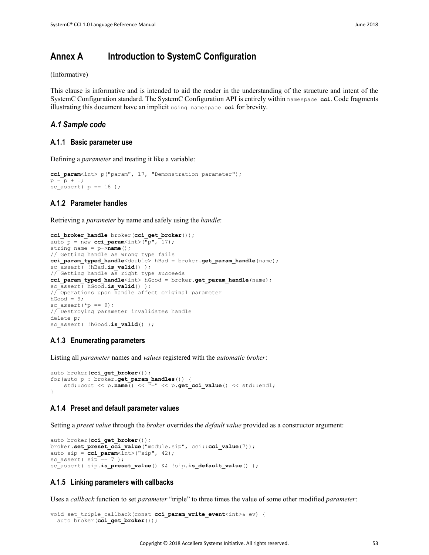# <span id="page-58-0"></span>**Annex A Introduction to SystemC Configuration**

(Informative)

This clause is informative and is intended to aid the reader in the understanding of the structure and intent of the SystemC Configuration standard. The SystemC Configuration API is entirely within namespace **cci**. Code fragments illustrating this document have an implicit using namespace **cci** for brevity.

### *A.1 Sample code*

#### **A.1.1 Basic parameter use**

Defining a *parameter* and treating it like a variable:

```
cci_param<int> p("param", 17, "Demonstration parameter");
p = p + 1;sc assert( p == 18 );
```
#### **A.1.2 Parameter handles**

Retrieving a *parameter* by name and safely using the *handle*:

```
cci_broker_handle broker(cci_get_broker());
auto p = new cci param<int>("p", 17);
string name = p-\overline{\lambda}name();
// Getting handle as wrong type fails
cci_param_typed_handle<double> hBad = broker.get_param_handle(name);
sc_assert( !hBad.is_valid() );
// Getting handle as right type succeeds
cci_param_typed_handle<int> hGood = broker.get_param_handle(name);
sc_assert( hGood.is valid() );
// Operations upon handle affect original parameter
hGood = 9;
sc assert(*p == 9);
// Destroying parameter invalidates handle
delete p;
sc_assert( !hGood.is_valid() );
```
#### **A.1.3 Enumerating parameters**

Listing all *parameter* names and *values* registered with the *automatic broker*:

```
auto broker(cci_get_broker());
for(auto p : broker.get_param_handles()) {
     std::cout << p.name() << "=" << p.get_cci_value() << std::endl;
}
```
#### **A.1.4 Preset and default parameter values**

Setting a *preset value* through the *broker* overrides the *default value* provided as a constructor argument:

```
auto broker(cci get broker());
broker.set_preset_cci_value("module.sip", cci::cci_value(7));
auto sip = cci_param<int>("sip", 42);
sc assert( \sin = 7 );
sc_assert( sip.is_preset_value() && !sip.is_default_value() );
```
#### **A.1.5 Linking parameters with callbacks**

Uses a *callback* function to set *parameter* "triple" to three times the value of some other modified *parameter*:

```
void set_triple_callback(const cci_param_write_event<int>& ev) {
   auto broker(cci_get_broker());
```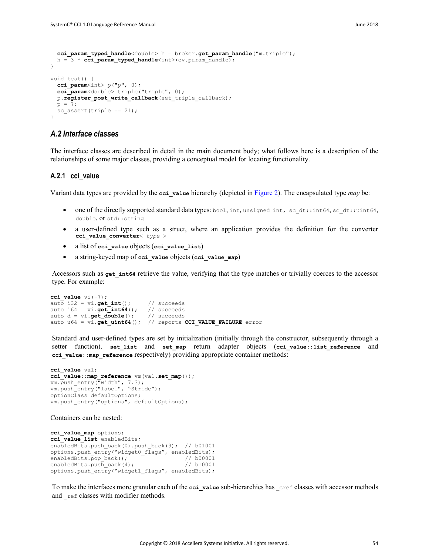```
 cci_param_typed_handle<double> h = broker.get_param_handle("m.triple");
 h = 3 * cci param typed handle<int>(ev.param handle);
}
void test() {
  cci param<int> p("p", 0);
  cci_param<double> triple("triple", 0);
 p.register post write callback (set triple callback);
 p = 7;
 sc_assert(triple == 21);
}
```
### *A.2 Interface classes*

The interface classes are described in detail in the main document body; what follows here is a description of the relationships of some major classes, providing a conceptual model for locating functionality.

#### **A.2.1 cci\_value**

Variant data types are provided by the **cci\_value** hierarchy (depicted in [Figure 2\)](#page-60-0). The encapsulated type *may* be:

- one of the directly supported standard data types: bool, int, unsigned int, sc\_dt::int64, sc\_dt::uint64, double, or std::string
- a user-defined type such as a struct, where an application provides the definition for the converter **cci\_value\_converter**< *type* >
- a list of **cci\_value** objects (**cci\_value\_list**)
- a string-keyed map of **cci\_value** objects (**cci\_value\_map**)

Accessors such as **get\_int64** retrieve the value, verifying that the type matches or trivially coerces to the accessor type. For example:

```
cci_value vi(-7);
auto i32 = vi.get_int(); // succeeds<br>auto i64 = vi.get int64(); // succeeds
auto i64 = vi.get_int64(); // succeeds<br>auto d = vi.get double(); // succeeds
auto d = \text{vi.get double}();
auto u64 = vi.get_uint64(); // reports CCI_VALUE_FAILURE error
```
Standard and user-defined types are set by initialization (initially through the constructor, subsequently through a setter function). **set\_list** and **set\_map** return adapter objects (**cci\_value**::**list\_reference** and **cci\_value**::**map\_reference** respectively) providing appropriate container methods:

```
cci_value val;
cci_value::map_reference vm(val.set_map());
vm.push_entry("width", 7.3);
vm.push_entry("label", "Stride");
optionClass defaultOptions;
vm.push entry("options", defaultOptions);
```
Containers can be nested:

```
cci value map options;
cci_value_list enabledBits;
enabledBits.push_back(0).push_back(3); // b01001
options.push_entry("widget0_flags", enabledBits);<br>enabledBits.pop back(); // b00001
                               \frac{1}{1000001}enabledBits.push back(4);
options.push_entry("widget1_flags", enabledBits);
```
To make the interfaces more granular each of the **cci** value sub-hierarchies has cref classes with accessor methods and \_ref classes with modifier methods.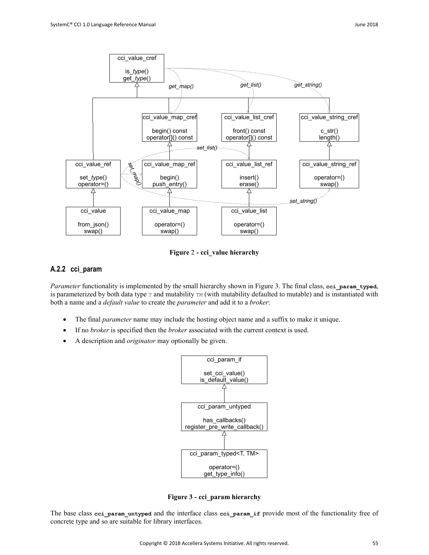

**Figure** 2 **- cci\_value hierarchy**

# <span id="page-60-0"></span>**A.2.2 cci\_param**

*Parameter* functionality is implemented by the small hierarchy shown in [Figure 3.](#page-60-1) The final class, cci param typed, is parameterized by both data type  $\tau$  and mutability  $\tau_M$  (with mutability defaulted to mutable) and is instantiated with both a name and a *default value* to create the *parameter* and add it to a *broker*:

- The final *parameter* name may include the hosting object name and a suffix to make it unique.
- If no *broker* is specified then the *broker* associated with the current context is used.
- A description and *originator* may optionally be given.



**Figure 3 - cci\_param hierarchy**

<span id="page-60-1"></span>The base class **cci** param untyped and the interface class **cci** param if provide most of the functionality free of concrete type and so are suitable for library interfaces.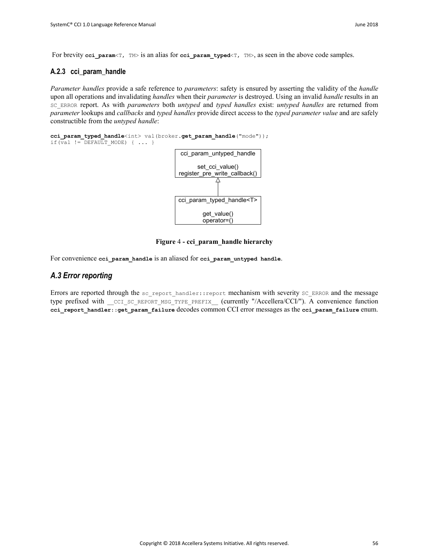For brevity cci param $\leq$ ,  $\leq$  M> is an alias for cci param typed $\leq$ ,  $\leq$  M>, as seen in the above code samples.

#### **A.2.3 cci\_param\_handle**

*Parameter handles* provide a safe reference to *parameters*: safety is ensured by asserting the validity of the *handle* upon all operations and invalidating *handles* when their *parameter* is destroyed. Using an invalid *handle* results in an SC\_ERROR report. As with *parameters* both *untyped* and *typed handles* exist: *untyped handles* are returned from *parameter* lookups and *callbacks* and *typed handles* provide direct access to the *typed parameter value* and are safely constructible from the *untyped handle*:

**cci param typed handle**<int> val(broker.get param handle("mode")); if  $(\overline{val} := \overline{DEFAULT}$  MODE) { ... }



#### **Figure** 4 **- cci\_param\_handle hierarchy**

For convenience **cci\_param\_handle** is an aliased for **cci\_param\_untyped handle**.

#### *A.3 Error reporting*

Errors are reported through the sc\_report\_handler::report\_mechanism with severity SC\_ERROR and the message type prefixed with collect so REPORT MSG\_TYPE\_PREFIX (currently "/Accellera/CCI/"). A convenience function **cci\_report\_handler**::**get\_param\_failure** decodes common CCI error messages as the **cci\_param\_failure** enum.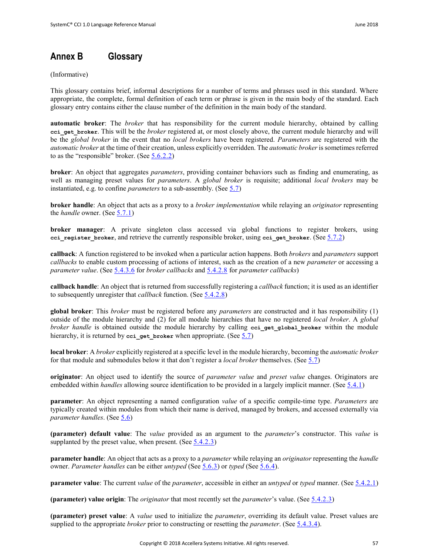# <span id="page-62-0"></span>**Annex B Glossary**

(Informative)

This glossary contains brief, informal descriptions for a number of terms and phrases used in this standard. Where appropriate, the complete, formal definition of each term or phrase is given in the main body of the standard. Each glossary entry contains either the clause number of the definition in the main body of the standard.

**automatic broker**: The *broker* that has responsibility for the current module hierarchy, obtained by calling **cci\_get\_broker**. This will be the *broker* registered at, or most closely above, the current module hierarchy and will be the *global broker* in the event that no *local brokers* have been registered. *Parameters* are registered with the *automatic broker* at the time of their creation, unless explicitly overridden. The *automatic broker*is sometimes referred to as the "responsible" broker. (See [5.6.2.2\)](#page-44-0)

**broker**: An object that aggregates *parameters*, providing container behaviors such as finding and enumerating, as well as managing preset values for *parameters*. A *global broker* is requisite; additional *local brokers* may be instantiated, e.g. to confine *parameters* to a sub-assembly. (See [5.7\)](#page-52-0)

**broker handle**: An object that acts as a proxy to a *broker implementation* while relaying an *originator* representing the *handle* owner. (Se[e 5.7.1\)](#page-52-1)

**broker manager**: A private singleton class accessed via global functions to register brokers, using **cci\_register\_broker**, and retrieve the currently responsible broker, using **cci\_get\_broker**. (See [5.7.2\)](#page-54-0)

**callback**: A function registered to be invoked when a particular action happens. Both *brokers* and *parameters* support *callbacks* to enable custom processing of actions of interest, such as the creation of a new *parameter* or accessing a *parameter value*. (See [5.4.3.6](#page-30-0) for *broker callbacks* and [5.4.2.8](#page-22-0) for *parameter callbacks*)

**callback handle**: An object that is returned from successfully registering a *callback* function; it is used as an identifier to subsequently unregister that *callback* function. (See [5.4.2.8\)](#page-22-0)

**global broker**: This *broker* must be registered before any *parameters* are constructed and it has responsibility (1) outside of the module hierarchy and (2) for all module hierarchies that have no registered *local broker*. A *global broker handle* is obtained outside the module hierarchy by calling **cci** get global broker within the module hierarchy, it is returned by **cci** get broker when appropriate. (See [5.7\)](#page-52-0)

**local broker**: A *broker* explicitly registered at a specific level in the module hierarchy, becoming the *automatic broker* for that module and submodules below it that don't register a *local broker* themselves. (See [5.7\)](#page-52-0)

**originator**: An object used to identify the source of *parameter value* and *preset value* changes. Originators are embedded within *handles* allowing source identification to be provided in a largely implicit manner. (See [5.4.1\)](#page-16-3)

**parameter**: An object representing a named configuration *value* of a specific compile-time type. *Parameters* are typically created within modules from which their name is derived, managed by brokers, and accessed externally via *parameter handles.* (Se[e 5.6\)](#page-41-0)

**(parameter) default value**: The *value* provided as an argument to the *parameter*'s constructor. This *value* is supplanted by the preset value, when present. (See  $\frac{5.4.2.3}{2}$ )

**parameter handle**: An object that acts as a proxy to a *parameter* while relaying an *originator* representing the *handle* owner. *Parameter handles* can be either *untyped* (See [5.6.3\)](#page-46-0) or *typed* (See [5.6.4\)](#page-49-0).

**parameter value**: The current *value* of the *parameter*, accessible in either an *untyped* or *typed* manner. (See [5.4.2.1\)](#page-19-0)

**(parameter) value origin**: The *originator* that most recently set the *parameter*'s value. (Se[e 5.4.2.3\)](#page-20-0)

**(parameter) preset value**: A *value* used to initialize the *parameter*, overriding its default value. Preset values are supplied to the appropriate *broker* prior to constructing or resetting the *parameter*. (See [5.4.3.4\)](#page-28-0).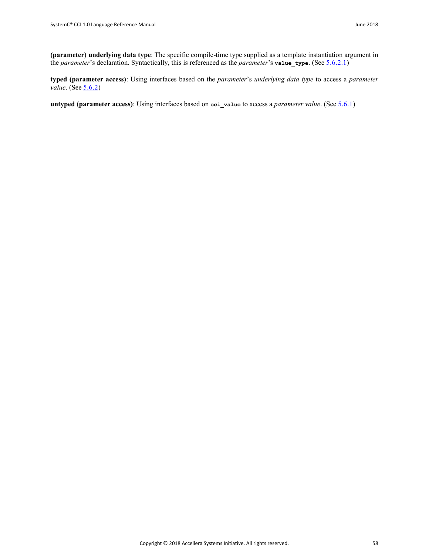**(parameter) underlying data type**: The specific compile-time type supplied as a template instantiation argument in the *parameter*'s declaration. Syntactically, this is referenced as the *parameter*'s **value\_type**. (Se[e 5.6.2.1\)](#page-44-1)

**typed (parameter access)**: Using interfaces based on the *parameter*'s *underlying data type* to access a *parameter value.* (See  $\frac{5.6.2}{2}$ )

**untyped (parameter access)**: Using interfaces based on **cci\_value** to access a *parameter value*. (Se[e 5.6.1\)](#page-41-1)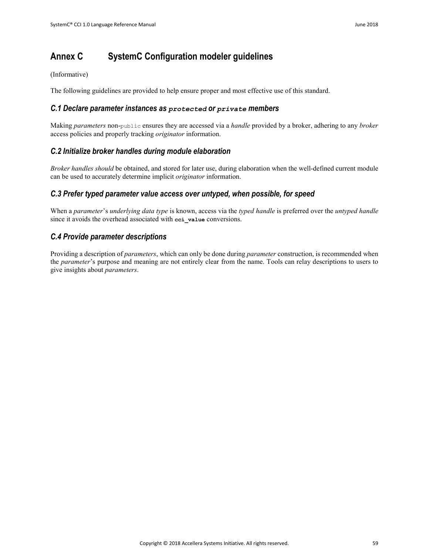# <span id="page-64-0"></span>**Annex C SystemC Configuration modeler guidelines**

(Informative)

The following guidelines are provided to help ensure proper and most effective use of this standard.

# *C.1 Declare parameter instances as protected or private members*

Making *parameters* non-public ensures they are accessed via a *handle* provided by a broker, adhering to any *broker*  access policies and properly tracking *originator* information.

# *C.2 Initialize broker handles during module elaboration*

*Broker handles should* be obtained, and stored for later use, during elaboration when the well-defined current module can be used to accurately determine implicit *originator* information.

# *C.3 Prefer typed parameter value access over untyped, when possible, for speed*

When a *parameter*'s *underlying data type* is known, access via the *typed handle* is preferred over the *untyped handle* since it avoids the overhead associated with **cci\_value** conversions.

# *C.4 Provide parameter descriptions*

Providing a description of *parameters*, which can only be done during *parameter* construction, is recommended when the *parameter*'s purpose and meaning are not entirely clear from the name. Tools can relay descriptions to users to give insights about *parameters*.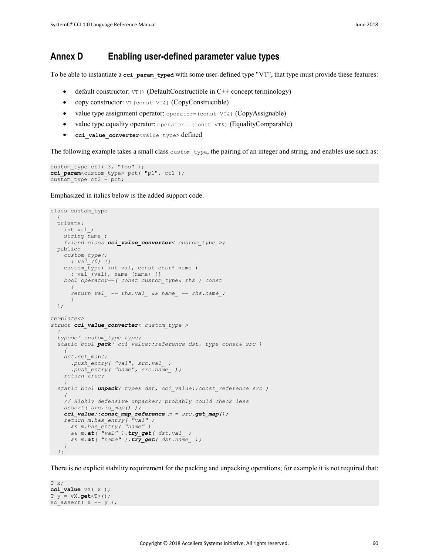# <span id="page-65-0"></span>**Annex D Enabling user-defined parameter value types**

To be able to instantiate a cci param typed with some user-defined type "VT", that type must provide these features:

- default constructor:  $\forall$ T() (DefaultConstructible in C++ concept terminology)
- copy constructor: VT (const VT&) (CopyConstructible)
- value type assignment operator: operator=(const  $VT&&$ ) (CopyAssignable)
- value type equality operator:  $operator: operator = (const \nabla \mathfrak{g})$  (EqualityComparable)
- **cci\_value\_converter**<value type> defined

The following example takes a small class custom  $type$ , the pairing of an integer and string, and enables use such as:

```
custom type ct1( 3, "foo" );
cci_param<custom_type> pct( "p1", ct1 );
custom type ct2 = pct;
```
Emphasized in italics below is the added support code.

```
class custom_type
\left\{ \begin{array}{c} \end{array} \right\} private:
    int val_;
   string name ;
    friend class cci_value_converter< custom_type >;
   public:
    custom_type()
      : val_(0) {}
    custom type( int val, const char* name )
     : val_(val), name_(name) {}
     bool operator==( const custom_type& rhs ) const
       {
       return val_ == rhs.val_ && name_ == rhs.name_;
       }
   };
template<>
struct cci_value_converter< custom_type >
 {
   typedef custom_type type;
   static bool pack( cci_value::reference dst, type const& src )
 {
     dst.set_map()
 .push_entry( "val", src.val_ )
 .push_entry( "name", src.name_ );
     return true;
     }
   static bool unpack( type& dst, cci_value::const_reference src )
 {
     // Highly defensive unpacker; probably could check less
     assert( src.is_map() );
     cci_value::const_map_reference m = src.get_map();
     return m.has_entry( "val" )
      && m.has_entry( "name" )
       && m.at( "val" ).try_get( dst.val_ )
       && m.at( "name" ).try_get( dst.name_ );
     }
```
There is no explicit stability requirement for the packing and unpacking operations; for example it is not required that:

```
T x;
cci_value vX( x );
T y = vX.get<T>();
sc_assert(x == y);
```
 *};*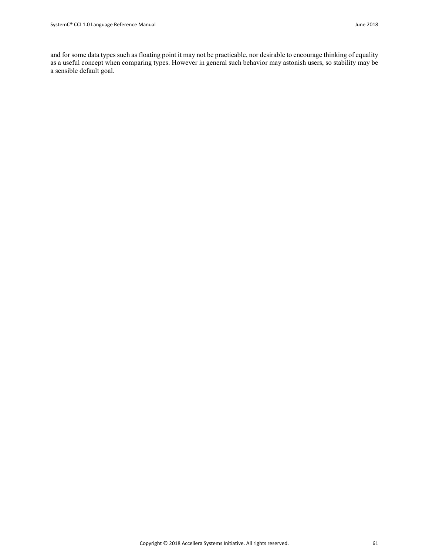and for some data types such as floating point it may not be practicable, nor desirable to encourage thinking of equality as a useful concept when comparing types. However in general such behavior may astonish users, so stability may be a sensible default goal.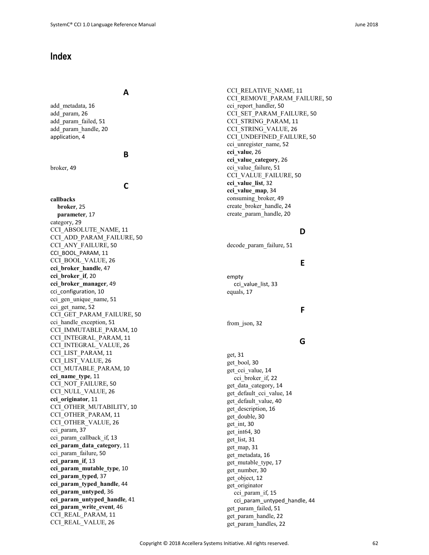# <span id="page-67-0"></span>**Index**

### **A**

add\_metadata, 16 add\_param, 26 add\_param\_failed, 51 add\_param\_handle, 20 application, 4

#### **B**

broker, 49

# **C**

**callbacks broker**, 25 **parameter**, 17 category, 29 CCI ABSOLUTE NAME, 11 CCI\_ADD\_PARAM\_FAILURE, 50 CCI\_ANY\_FAILURE, 50 CCI\_BOOL\_PARAM, 11 CCI BOOL VALUE, 26 **cci\_broker\_handle**, 47 **cci\_broker\_if**, 20 **cci\_broker\_manager**, 49 cci\_configuration, 10 cci gen unique name, 51 cci get name, 52 CCI\_GET\_PARAM\_FAILURE, 50 cci handle exception, 51 CCI\_IMMUTABLE\_PARAM, 10 CCI\_INTEGRAL\_PARAM, 11 CCI\_INTEGRAL\_VALUE, 26 CCI\_LIST\_PARAM, 11 CCI LIST VALUE, 26 CCI\_MUTABLE\_PARAM, 10 **cci\_name\_type**, 11 CCI NOT FAILURE, 50 CCI NULL VALUE, 26 **cci\_originator**, 11 CCI OTHER MUTABILITY, 10 CCI\_OTHER\_PARAM, 11 CCI\_OTHER\_VALUE, 26 cci\_param, 37 cci param callback if, 13 **cci\_param\_data\_category**, 11 cci\_param\_failure, 50 **cci\_param\_if**, 13 **cci\_param\_mutable\_type**, 10 **cci\_param\_typed**, 37 **cci\_param\_typed\_handle**, 44 **cci\_param\_untyped**, 36 **cci\_param\_untyped\_handle**, 41 **cci\_param\_write\_event**, 46 CCI\_REAL\_PARAM, 11 CCI REAL VALUE, 26

CCI RELATIVE NAME, 11 CCI REMOVE PARAM FAILURE, 50 cci report handler, 50 CCI\_SET\_PARAM\_FAILURE, 50 CCI\_STRING\_PARAM, 11 CCI\_STRING\_VALUE, 26 CCI UNDEFINED FAILURE, 50 cci\_unregister\_name, 52 **cci\_value**, 26 **cci\_value\_category**, 26 cci\_value\_failure, 51 CCI\_VALUE\_FAILURE, 50 **cci\_value\_list**, 32 **cci\_value\_map**, 34 consuming\_broker, 49 create\_broker\_handle, 24 create\_param\_handle, 20

#### **D**

decode\_param\_failure, 51

#### **E**

empty cci\_value\_list, 33 equals, 17

#### **F**

**G**

from json, 32

get, 31 get bool, 30 get cci value, 14 cci broker if, 22 get\_data\_category, 14 get\_default\_cci\_value, 14 get default value, 40 get\_description, 16 get double, 30 get\_int, 30 get\_int64, 30 get\_list, 31 get map, 31 get\_metadata, 16 get mutable type, 17 get number, 30 get\_object, 12 get\_originator cci param if, 15 cci\_param\_untyped\_handle, 44 get param failed, 51 get param handle, 22 get param handles, 22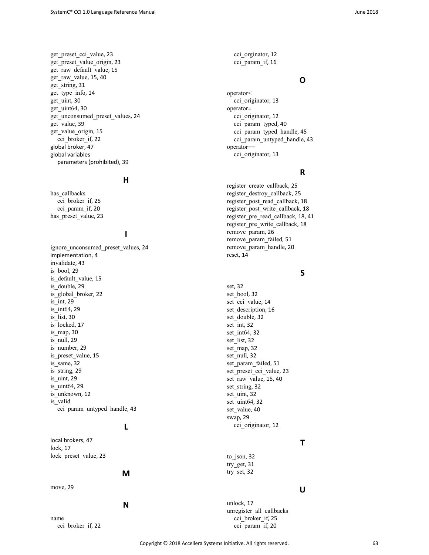get\_preset\_cci\_value, 23 get preset value origin, 23 get raw default value, 15 get raw value, 15, 40 get\_string, 31 get\_type\_info, 14 get\_uint, 30 get uint64, 30 get\_unconsumed\_preset\_values, 24 get value, 39 get value origin, 15 cci\_broker\_if, 22 global broker, 47 global variables parameters (prohibited), 39

#### **H**

has callbacks cci broker if, 25 cci param if, 20 has preset value, 23

# **I**

ignore unconsumed preset values, 24 implementation, 4 invalidate, 43 is bool, 29 is default value, 15 is double, 29 is global broker, 22 is int, 29 is\_int64, 29 is list, 30 is locked, 17 is map, 30 is\_null, 29 is number, 29 is preset value, 15 is same, 32 is string, 29 is uint, 29 is uint64, 29 is unknown, 12 is valid cci param untyped handle, 43

# **L**

local brokers, 47 lock, 17 lock preset value, 23

#### **M**

move, 29

#### **N**

name cci broker if, 22 cci\_orginator, 12 cci param if, 16

# **O**

operator< cci\_originator, 13 operator= cci originator, 12 cci\_param\_typed, 40 cci param typed handle, 45 cci param untyped handle, 43 operator== cci\_originator, 13

# **R**

register create callback, 25 register\_destroy\_callback, 25 register post read callback, 18 register\_post\_write\_callback, 18 register pre read callback, 18, 41 register pre write callback, 18 remove\_param, 26 remove\_param\_failed, 51 remove param handle, 20 reset, 14

# **S**

set, 32 set bool, 32 set cci value, 14 set description, 16 set double, 32 set int, 32 set int64, 32 set list, 32 set\_map, 32 set\_null, 32 set param failed, 51 set preset cci value, 23 set raw value, 15, 40 set\_string, 32 set uint, 32 set\_uint64, 32 set\_value, 40 swap, 29 cci originator, 12

# **T**

to json, 32 try\_get, 31 try\_set, 32

#### **U**

unlock, 17 unregister all callbacks cci broker if, 25 cci param if, 20